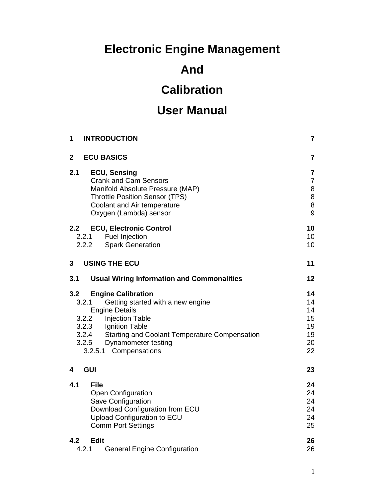# **Electronic Engine Management**

# **And**

# **Calibration**

# **User Manual**

| <b>INTRODUCTION</b><br>1                                                                                                                                                                                                                                                                                   | 7                                                             |
|------------------------------------------------------------------------------------------------------------------------------------------------------------------------------------------------------------------------------------------------------------------------------------------------------------|---------------------------------------------------------------|
| $\overline{2}$<br><b>ECU BASICS</b>                                                                                                                                                                                                                                                                        | 7                                                             |
| 2.1<br><b>ECU, Sensing</b><br><b>Crank and Cam Sensors</b><br>Manifold Absolute Pressure (MAP)<br><b>Throttle Position Sensor (TPS)</b><br>Coolant and Air temperature<br>Oxygen (Lambda) sensor                                                                                                           | $\overline{\mathbf{7}}$<br>$\overline{7}$<br>8<br>8<br>8<br>9 |
| <b>ECU, Electronic Control</b><br>2.2 <sub>2</sub><br><b>Fuel Injection</b><br>2.2.1<br><b>Spark Generation</b><br>2.2.2                                                                                                                                                                                   | 10<br>10 <sup>1</sup><br>10 <sup>1</sup>                      |
| <b>USING THE ECU</b><br>3                                                                                                                                                                                                                                                                                  | 11                                                            |
| 3.1<br><b>Usual Wiring Information and Commonalities</b>                                                                                                                                                                                                                                                   | 12                                                            |
| 3.2<br><b>Engine Calibration</b><br>Getting started with a new engine<br>3.2.1<br><b>Engine Details</b><br><b>Injection Table</b><br>3.2.2<br>$3.2.3$<br>3.2.3<br>Ignition Table<br>3.2.4<br><b>Starting and Coolant Temperature Compensation</b><br>3.2.5<br>Dynamometer testing<br>3.2.5.1 Compensations | 14<br>14<br>14<br>15<br>19<br>19<br>20<br>22                  |
| <b>GUI</b><br>4                                                                                                                                                                                                                                                                                            | 23                                                            |
| 4.1<br><b>File</b><br>Open Configuration<br>Save Configuration<br>Download Configuration from ECU<br>Upload Configuration to ECU<br><b>Comm Port Settings</b>                                                                                                                                              | 24<br>24<br>24<br>24<br>24<br>25                              |
| <b>Edit</b><br>4.2<br>4.2.1<br><b>General Engine Configuration</b>                                                                                                                                                                                                                                         | 26<br>26                                                      |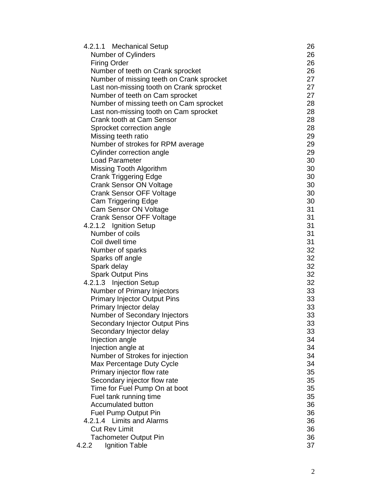| 4.2.1.1 Mechanical Setup                  | 26 |
|-------------------------------------------|----|
| <b>Number of Cylinders</b>                | 26 |
| <b>Firing Order</b>                       | 26 |
| Number of teeth on Crank sprocket         | 26 |
| Number of missing teeth on Crank sprocket | 27 |
| Last non-missing tooth on Crank sprocket  | 27 |
| Number of teeth on Cam sprocket           | 27 |
| Number of missing teeth on Cam sprocket   | 28 |
| Last non-missing tooth on Cam sprocket    | 28 |
| Crank tooth at Cam Sensor                 | 28 |
| Sprocket correction angle                 | 28 |
| Missing teeth ratio                       | 29 |
| Number of strokes for RPM average         | 29 |
| Cylinder correction angle                 | 29 |
| <b>Load Parameter</b>                     | 30 |
| Missing Tooth Algorithm                   | 30 |
| <b>Crank Triggering Edge</b>              | 30 |
| <b>Crank Sensor ON Voltage</b>            | 30 |
| <b>Crank Sensor OFF Voltage</b>           | 30 |
| Cam Triggering Edge                       | 30 |
| Cam Sensor ON Voltage                     | 31 |
| <b>Crank Sensor OFF Voltage</b>           | 31 |
| 4.2.1.2 Ignition Setup                    | 31 |
| Number of coils                           | 31 |
| Coil dwell time                           | 31 |
| Number of sparks                          | 32 |
| Sparks off angle                          | 32 |
| Spark delay                               | 32 |
| <b>Spark Output Pins</b>                  | 32 |
| 4.2.1.3 Injection Setup                   | 32 |
| Number of Primary Injectors               | 33 |
| <b>Primary Injector Output Pins</b>       | 33 |
| Primary Injector delay                    | 33 |
| Number of Secondary Injectors             | 33 |
| Secondary Injector Output Pins            | 33 |
| Secondary Injector delay                  | 33 |
| Injection angle                           | 34 |
| Injection angle at                        | 34 |
| Number of Strokes for injection           | 34 |
| Max Percentage Duty Cycle                 | 34 |
| Primary injector flow rate                | 35 |
| Secondary injector flow rate              | 35 |
| Time for Fuel Pump On at boot             | 35 |
| Fuel tank running time                    | 35 |
| <b>Accumulated button</b>                 | 36 |
| <b>Fuel Pump Output Pin</b>               | 36 |
| 4.2.1.4 Limits and Alarms                 | 36 |
| <b>Cut Rev Limit</b>                      | 36 |
| <b>Tachometer Output Pin</b>              | 36 |
| Ignition Table<br>4.2.2                   | 37 |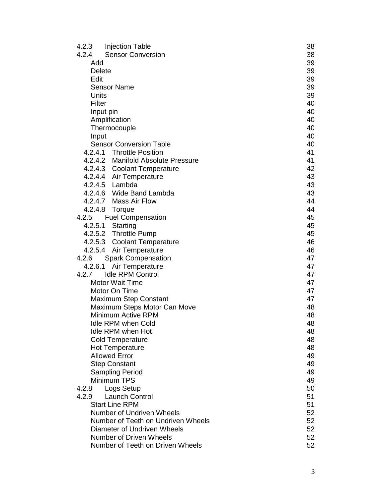| 4.2.3         | Injection Table                                | 38       |
|---------------|------------------------------------------------|----------|
| 4.2.4         | <b>Sensor Conversion</b>                       | 38       |
| Add           |                                                | 39       |
| <b>Delete</b> |                                                | 39       |
| Edit          |                                                | 39       |
|               | <b>Sensor Name</b>                             | 39       |
| Units         |                                                | 39       |
| Filter        |                                                | 40       |
|               | Input pin                                      | 40       |
|               | Amplification                                  | 40       |
|               | Thermocouple                                   | 40       |
| Input         |                                                | 40       |
|               | <b>Sensor Conversion Table</b>                 | 40       |
|               | 4.2.4.1 Throttle Position                      | 41       |
|               | 4.2.4.2 Manifold Absolute Pressure             | 41       |
|               | 4.2.4.3 Coolant Temperature                    | 42       |
|               | 4.2.4.4 Air Temperature                        | 43       |
|               | 4.2.4.5 Lambda                                 | 43       |
|               | 4.2.4.6 Wide Band Lambda                       | 43       |
|               | 4.2.4.7 Mass Air Flow                          | 44       |
|               | 4.2.4.8 Torque                                 | 44       |
| 4.2.5         | <b>Fuel Compensation</b>                       | 45       |
|               | 4.2.5.1 Starting                               | 45       |
|               | 4.2.5.2 Throttle Pump                          | 45       |
|               | 4.2.5.3 Coolant Temperature                    | 46       |
|               | 4.2.5.4 Air Temperature                        | 46       |
| 4.2.6         | <b>Spark Compensation</b>                      | 47       |
| 4.2.6.1       | Air Temperature                                | 47       |
| 4.2.7         | <b>Idle RPM Control</b>                        | 47       |
|               | <b>Motor Wait Time</b>                         | 47       |
|               | Motor On Time                                  | 47       |
|               | <b>Maximum Step Constant</b>                   | 47       |
|               | Maximum Steps Motor Can Move                   | 48       |
|               | Minimum Active RPM                             | 48       |
|               | <b>Idle RPM when Cold</b>                      | 48       |
|               | <b>Idle RPM when Hot</b>                       | 48       |
|               | <b>Cold Temperature</b>                        | 48<br>48 |
|               | <b>Hot Temperature</b><br><b>Allowed Error</b> | 49       |
|               |                                                | 49       |
|               | <b>Step Constant</b>                           | 49       |
|               | <b>Sampling Period</b><br>Minimum TPS          | 49       |
| 4.2.8         | Logs Setup                                     | 50       |
| 4.2.9         | <b>Launch Control</b>                          | 51       |
|               | <b>Start Line RPM</b>                          | 51       |
|               | <b>Number of Undriven Wheels</b>               | 52       |
|               | Number of Teeth on Undriven Wheels             | 52       |
|               | Diameter of Undriven Wheels                    | 52       |
|               | <b>Number of Driven Wheels</b>                 | 52       |
|               | Number of Teeth on Driven Wheels               | 52       |
|               |                                                |          |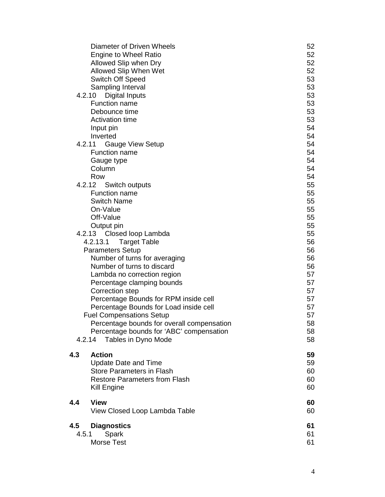|       | Diameter of Driven Wheels                  | 52 |
|-------|--------------------------------------------|----|
|       | <b>Engine to Wheel Ratio</b>               | 52 |
|       | Allowed Slip when Dry                      | 52 |
|       | Allowed Slip When Wet                      | 52 |
|       | <b>Switch Off Speed</b>                    | 53 |
|       | Sampling Interval                          | 53 |
|       | 4.2.10<br>Digital Inputs                   | 53 |
|       | <b>Function name</b>                       | 53 |
|       | Debounce time                              | 53 |
|       | <b>Activation time</b>                     | 53 |
|       | Input pin                                  | 54 |
|       | Inverted                                   | 54 |
|       | 4.2.11<br><b>Gauge View Setup</b>          | 54 |
|       | <b>Function name</b>                       | 54 |
|       | Gauge type                                 | 54 |
|       | Column                                     | 54 |
|       | Row                                        | 54 |
|       | 4.2.12<br>Switch outputs                   | 55 |
|       | <b>Function name</b>                       | 55 |
|       | <b>Switch Name</b>                         | 55 |
|       | On-Value                                   | 55 |
|       | Off-Value                                  | 55 |
|       | Output pin                                 | 55 |
|       | 4.2.13 Closed loop Lambda                  | 55 |
|       | 4.2.13.1<br><b>Target Table</b>            | 56 |
|       | <b>Parameters Setup</b>                    | 56 |
|       | Number of turns for averaging              | 56 |
|       | Number of turns to discard                 | 56 |
|       | Lambda no correction region                | 57 |
|       | Percentage clamping bounds                 | 57 |
|       | Correction step                            | 57 |
|       | Percentage Bounds for RPM inside cell      | 57 |
|       | Percentage Bounds for Load inside cell     | 57 |
|       | <b>Fuel Compensations Setup</b>            | 57 |
|       | Percentage bounds for overall compensation | 58 |
|       | Percentage bounds for 'ABC' compensation   | 58 |
|       | Tables in Dyno Mode<br>4.2.14              | 58 |
| 4.3   | <b>Action</b>                              | 59 |
|       | <b>Update Date and Time</b>                | 59 |
|       | <b>Store Parameters in Flash</b>           | 60 |
|       | <b>Restore Parameters from Flash</b>       | 60 |
|       | Kill Engine                                | 60 |
| 4.4   | <b>View</b>                                | 60 |
|       | View Closed Loop Lambda Table              | 60 |
| 4.5   | <b>Diagnostics</b>                         | 61 |
| 4.5.1 | Spark                                      | 61 |
|       | Morse Test                                 | 61 |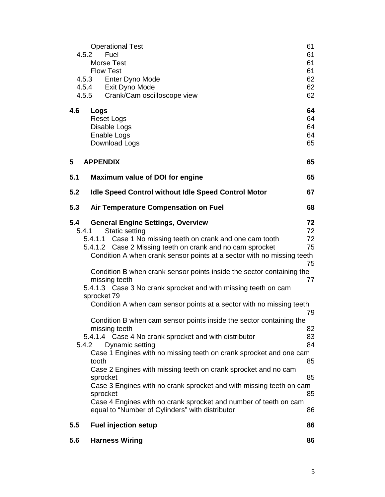|     | <b>Operational Test</b><br>Fuel<br>4.5.2<br><b>Morse Test</b><br><b>Flow Test</b><br>4.5.3 Enter Dyno Mode                                                                                                                                                                                                                                                                                                                                                                                                                                                                                                               | 61<br>61<br>61<br>61<br>62                   |
|-----|--------------------------------------------------------------------------------------------------------------------------------------------------------------------------------------------------------------------------------------------------------------------------------------------------------------------------------------------------------------------------------------------------------------------------------------------------------------------------------------------------------------------------------------------------------------------------------------------------------------------------|----------------------------------------------|
|     | 4.5.4 Exit Dyno Mode<br>Crank/Cam oscilloscope view<br>4.5.5                                                                                                                                                                                                                                                                                                                                                                                                                                                                                                                                                             | 62<br>62                                     |
| 4.6 | Logs<br><b>Reset Logs</b><br>Disable Logs<br>Enable Logs<br>Download Logs                                                                                                                                                                                                                                                                                                                                                                                                                                                                                                                                                | 64<br>64<br>64<br>64<br>65                   |
| 5   | <b>APPENDIX</b>                                                                                                                                                                                                                                                                                                                                                                                                                                                                                                                                                                                                          | 65                                           |
| 5.1 | <b>Maximum value of DOI for engine</b>                                                                                                                                                                                                                                                                                                                                                                                                                                                                                                                                                                                   | 65                                           |
| 5.2 | <b>Idle Speed Control without Idle Speed Control Motor</b>                                                                                                                                                                                                                                                                                                                                                                                                                                                                                                                                                               | 67                                           |
| 5.3 | Air Temperature Compensation on Fuel                                                                                                                                                                                                                                                                                                                                                                                                                                                                                                                                                                                     | 68                                           |
| 5.4 | <b>General Engine Settings, Overview</b><br><b>Static setting</b><br>5.4.1<br>5.4.1.1 Case 1 No missing teeth on crank and one cam tooth<br>5.4.1.2 Case 2 Missing teeth on crank and no cam sprocket<br>Condition A when crank sensor points at a sector with no missing teeth<br>Condition B when crank sensor points inside the sector containing the<br>missing teeth<br>5.4.1.3 Case 3 No crank sprocket and with missing teeth on cam<br>sprocket 79                                                                                                                                                               | 72<br>72<br>72<br>75<br>75<br>77             |
|     | Condition A when cam sensor points at a sector with no missing teeth<br>Condition B when cam sensor points inside the sector containing the<br>missing teeth<br>5.4.1.4 Case 4 No crank sprocket and with distributor<br>Dynamic setting<br>5.4.2<br>Case 1 Engines with no missing teeth on crank sprocket and one cam<br>tooth<br>Case 2 Engines with missing teeth on crank sprocket and no cam<br>sprocket<br>Case 3 Engines with no crank sprocket and with missing teeth on cam<br>sprocket<br>Case 4 Engines with no crank sprocket and number of teeth on cam<br>equal to "Number of Cylinders" with distributor | 79<br>82<br>83<br>84<br>85<br>85<br>85<br>86 |
| 5.5 | <b>Fuel injection setup</b>                                                                                                                                                                                                                                                                                                                                                                                                                                                                                                                                                                                              | 86                                           |
| 5.6 | <b>Harness Wiring</b>                                                                                                                                                                                                                                                                                                                                                                                                                                                                                                                                                                                                    | 86                                           |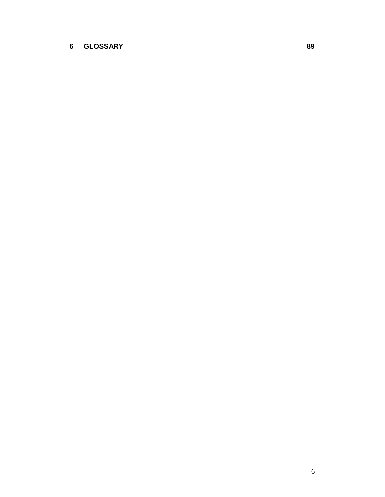### **GLOSSARY 89**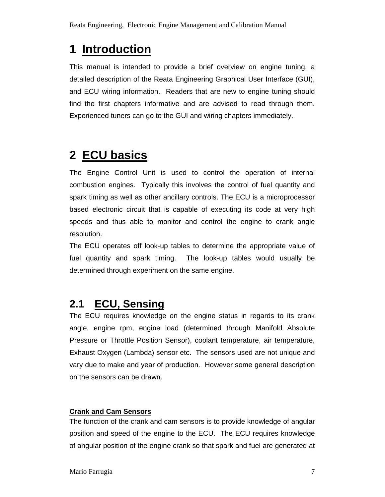# **1 Introduction**

This manual is intended to provide a brief overview on engine tuning, a detailed description of the Reata Engineering Graphical User Interface (GUI), and ECU wiring information. Readers that are new to engine tuning should find the first chapters informative and are advised to read through them. Experienced tuners can go to the GUI and wiring chapters immediately.

# **2 ECU basics**

The Engine Control Unit is used to control the operation of internal combustion engines. Typically this involves the control of fuel quantity and spark timing as well as other ancillary controls. The ECU is a microprocessor based electronic circuit that is capable of executing its code at very high speeds and thus able to monitor and control the engine to crank angle resolution.

The ECU operates off look-up tables to determine the appropriate value of fuel quantity and spark timing. The look-up tables would usually be determined through experiment on the same engine.

## **2.1 ECU, Sensing**

The ECU requires knowledge on the engine status in regards to its crank angle, engine rpm, engine load (determined through Manifold Absolute Pressure or Throttle Position Sensor), coolant temperature, air temperature, Exhaust Oxygen (Lambda) sensor etc. The sensors used are not unique and vary due to make and year of production. However some general description on the sensors can be drawn.

### **Crank and Cam Sensors**

The function of the crank and cam sensors is to provide knowledge of angular position and speed of the engine to the ECU. The ECU requires knowledge of angular position of the engine crank so that spark and fuel are generated at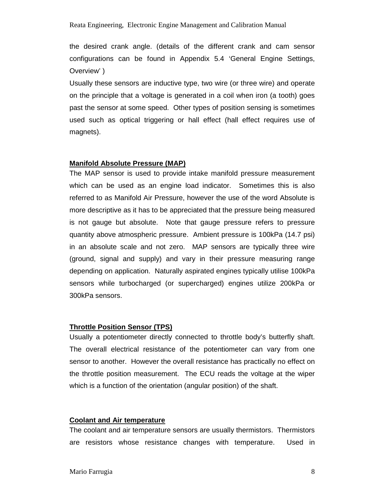the desired crank angle. (details of the different crank and cam sensor configurations can be found in Appendix 5.4 'General Engine Settings, Overview' )

Usually these sensors are inductive type, two wire (or three wire) and operate on the principle that a voltage is generated in a coil when iron (a tooth) goes past the sensor at some speed. Other types of position sensing is sometimes used such as optical triggering or hall effect (hall effect requires use of magnets).

#### **Manifold Absolute Pressure (MAP)**

The MAP sensor is used to provide intake manifold pressure measurement which can be used as an engine load indicator. Sometimes this is also referred to as Manifold Air Pressure, however the use of the word Absolute is more descriptive as it has to be appreciated that the pressure being measured is not gauge but absolute. Note that gauge pressure refers to pressure quantity above atmospheric pressure. Ambient pressure is 100kPa (14.7 psi) in an absolute scale and not zero. MAP sensors are typically three wire (ground, signal and supply) and vary in their pressure measuring range depending on application. Naturally aspirated engines typically utilise 100kPa sensors while turbocharged (or supercharged) engines utilize 200kPa or 300kPa sensors.

#### **Throttle Position Sensor (TPS)**

Usually a potentiometer directly connected to throttle body's butterfly shaft. The overall electrical resistance of the potentiometer can vary from one sensor to another. However the overall resistance has practically no effect on the throttle position measurement. The ECU reads the voltage at the wiper which is a function of the orientation (angular position) of the shaft.

#### **Coolant and Air temperature**

The coolant and air temperature sensors are usually thermistors. Thermistors are resistors whose resistance changes with temperature. Used in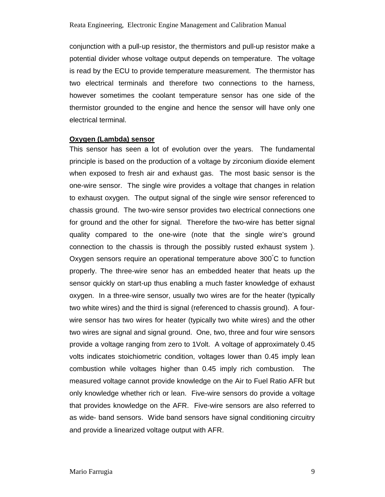conjunction with a pull-up resistor, the thermistors and pull-up resistor make a potential divider whose voltage output depends on temperature. The voltage is read by the ECU to provide temperature measurement. The thermistor has two electrical terminals and therefore two connections to the harness, however sometimes the coolant temperature sensor has one side of the thermistor grounded to the engine and hence the sensor will have only one electrical terminal.

#### **Oxygen (Lambda) sensor**

This sensor has seen a lot of evolution over the years. The fundamental principle is based on the production of a voltage by zirconium dioxide element when exposed to fresh air and exhaust gas. The most basic sensor is the one-wire sensor. The single wire provides a voltage that changes in relation to exhaust oxygen. The output signal of the single wire sensor referenced to chassis ground. The two-wire sensor provides two electrical connections one for ground and the other for signal. Therefore the two-wire has better signal quality compared to the one-wire (note that the single wire's ground connection to the chassis is through the possibly rusted exhaust system ). Oxygen sensors require an operational temperature above 300°C to function properly. The three-wire senor has an embedded heater that heats up the sensor quickly on start-up thus enabling a much faster knowledge of exhaust oxygen. In a three-wire sensor, usually two wires are for the heater (typically two white wires) and the third is signal (referenced to chassis ground). A fourwire sensor has two wires for heater (typically two white wires) and the other two wires are signal and signal ground. One, two, three and four wire sensors provide a voltage ranging from zero to 1Volt. A voltage of approximately 0.45 volts indicates stoichiometric condition, voltages lower than 0.45 imply lean combustion while voltages higher than 0.45 imply rich combustion. The measured voltage cannot provide knowledge on the Air to Fuel Ratio AFR but only knowledge whether rich or lean. Five-wire sensors do provide a voltage that provides knowledge on the AFR. Five-wire sensors are also referred to as wide- band sensors. Wide band sensors have signal conditioning circuitry and provide a linearized voltage output with AFR.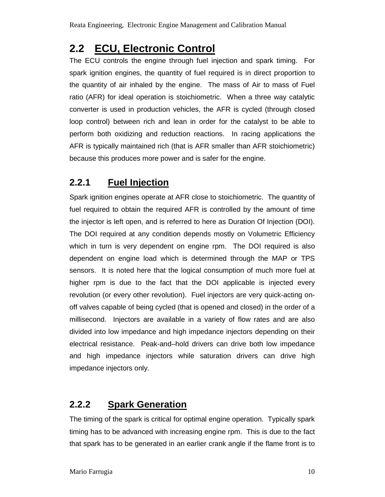## **2.2 ECU, Electronic Control**

The ECU controls the engine through fuel injection and spark timing. For spark ignition engines, the quantity of fuel required is in direct proportion to the quantity of air inhaled by the engine. The mass of Air to mass of Fuel ratio (AFR) for ideal operation is stoichiometric. When a three way catalytic converter is used in production vehicles, the AFR is cycled (through closed loop control) between rich and lean in order for the catalyst to be able to perform both oxidizing and reduction reactions. In racing applications the AFR is typically maintained rich (that is AFR smaller than AFR stoichiometric) because this produces more power and is safer for the engine.

## **2.2.1 Fuel Injection**

Spark ignition engines operate at AFR close to stoichiometric. The quantity of fuel required to obtain the required AFR is controlled by the amount of time the injector is left open, and is referred to here as Duration Of Injection (DOI). The DOI required at any condition depends mostly on Volumetric Efficiency which in turn is very dependent on engine rpm. The DOI required is also dependent on engine load which is determined through the MAP or TPS sensors. It is noted here that the logical consumption of much more fuel at higher rpm is due to the fact that the DOI applicable is injected every revolution (or every other revolution). Fuel injectors are very quick-acting onoff valves capable of being cycled (that is opened and closed) in the order of a millisecond. Injectors are available in a variety of flow rates and are also divided into low impedance and high impedance injectors depending on their electrical resistance. Peak-and–hold drivers can drive both low impedance and high impedance injectors while saturation drivers can drive high impedance injectors only.

## **2.2.2 Spark Generation**

The timing of the spark is critical for optimal engine operation. Typically spark timing has to be advanced with increasing engine rpm. This is due to the fact that spark has to be generated in an earlier crank angle if the flame front is to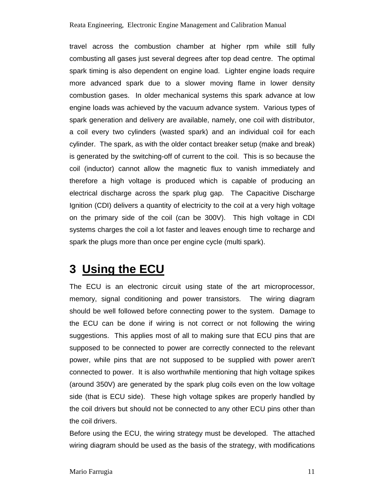travel across the combustion chamber at higher rpm while still fully combusting all gases just several degrees after top dead centre. The optimal spark timing is also dependent on engine load. Lighter engine loads require more advanced spark due to a slower moving flame in lower density combustion gases. In older mechanical systems this spark advance at low engine loads was achieved by the vacuum advance system. Various types of spark generation and delivery are available, namely, one coil with distributor, a coil every two cylinders (wasted spark) and an individual coil for each cylinder. The spark, as with the older contact breaker setup (make and break) is generated by the switching-off of current to the coil. This is so because the coil (inductor) cannot allow the magnetic flux to vanish immediately and therefore a high voltage is produced which is capable of producing an electrical discharge across the spark plug gap. The Capacitive Discharge Ignition (CDI) delivers a quantity of electricity to the coil at a very high voltage on the primary side of the coil (can be 300V). This high voltage in CDI systems charges the coil a lot faster and leaves enough time to recharge and spark the plugs more than once per engine cycle (multi spark).

## **3 Using the ECU**

The ECU is an electronic circuit using state of the art microprocessor, memory, signal conditioning and power transistors. The wiring diagram should be well followed before connecting power to the system. Damage to the ECU can be done if wiring is not correct or not following the wiring suggestions. This applies most of all to making sure that ECU pins that are supposed to be connected to power are correctly connected to the relevant power, while pins that are not supposed to be supplied with power aren't connected to power. It is also worthwhile mentioning that high voltage spikes (around 350V) are generated by the spark plug coils even on the low voltage side (that is ECU side). These high voltage spikes are properly handled by the coil drivers but should not be connected to any other ECU pins other than the coil drivers.

Before using the ECU, the wiring strategy must be developed. The attached wiring diagram should be used as the basis of the strategy, with modifications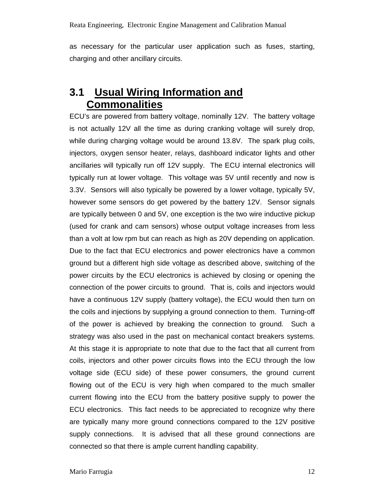as necessary for the particular user application such as fuses, starting, charging and other ancillary circuits.

## **3.1 Usual Wiring Information and Commonalities**

ECU's are powered from battery voltage, nominally 12V. The battery voltage is not actually 12V all the time as during cranking voltage will surely drop, while during charging voltage would be around 13.8V. The spark plug coils, injectors, oxygen sensor heater, relays, dashboard indicator lights and other ancillaries will typically run off 12V supply. The ECU internal electronics will typically run at lower voltage. This voltage was 5V until recently and now is 3.3V. Sensors will also typically be powered by a lower voltage, typically 5V, however some sensors do get powered by the battery 12V. Sensor signals are typically between 0 and 5V, one exception is the two wire inductive pickup (used for crank and cam sensors) whose output voltage increases from less than a volt at low rpm but can reach as high as 20V depending on application. Due to the fact that ECU electronics and power electronics have a common ground but a different high side voltage as described above, switching of the power circuits by the ECU electronics is achieved by closing or opening the connection of the power circuits to ground. That is, coils and injectors would have a continuous 12V supply (battery voltage), the ECU would then turn on the coils and injections by supplying a ground connection to them. Turning-off of the power is achieved by breaking the connection to ground. Such a strategy was also used in the past on mechanical contact breakers systems. At this stage it is appropriate to note that due to the fact that all current from coils, injectors and other power circuits flows into the ECU through the low voltage side (ECU side) of these power consumers, the ground current flowing out of the ECU is very high when compared to the much smaller current flowing into the ECU from the battery positive supply to power the ECU electronics. This fact needs to be appreciated to recognize why there are typically many more ground connections compared to the 12V positive supply connections. It is advised that all these ground connections are connected so that there is ample current handling capability.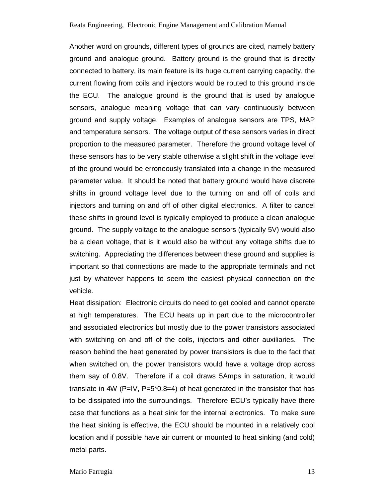Another word on grounds, different types of grounds are cited, namely battery ground and analogue ground. Battery ground is the ground that is directly connected to battery, its main feature is its huge current carrying capacity, the current flowing from coils and injectors would be routed to this ground inside the ECU. The analogue ground is the ground that is used by analogue sensors, analogue meaning voltage that can vary continuously between ground and supply voltage. Examples of analogue sensors are TPS, MAP and temperature sensors. The voltage output of these sensors varies in direct proportion to the measured parameter. Therefore the ground voltage level of these sensors has to be very stable otherwise a slight shift in the voltage level of the ground would be erroneously translated into a change in the measured parameter value. It should be noted that battery ground would have discrete shifts in ground voltage level due to the turning on and off of coils and injectors and turning on and off of other digital electronics. A filter to cancel these shifts in ground level is typically employed to produce a clean analogue ground. The supply voltage to the analogue sensors (typically 5V) would also be a clean voltage, that is it would also be without any voltage shifts due to switching. Appreciating the differences between these ground and supplies is important so that connections are made to the appropriate terminals and not just by whatever happens to seem the easiest physical connection on the vehicle.

Heat dissipation: Electronic circuits do need to get cooled and cannot operate at high temperatures. The ECU heats up in part due to the microcontroller and associated electronics but mostly due to the power transistors associated with switching on and off of the coils, injectors and other auxiliaries. The reason behind the heat generated by power transistors is due to the fact that when switched on, the power transistors would have a voltage drop across them say of 0.8V. Therefore if a coil draws 5Amps in saturation, it would translate in 4W (P=IV, P=5 $*0.8=4$ ) of heat generated in the transistor that has to be dissipated into the surroundings. Therefore ECU's typically have there case that functions as a heat sink for the internal electronics. To make sure the heat sinking is effective, the ECU should be mounted in a relatively cool location and if possible have air current or mounted to heat sinking (and cold) metal parts.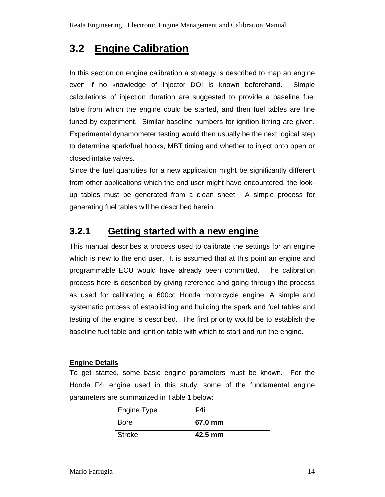## **3.2 Engine Calibration**

In this section on engine calibration a strategy is described to map an engine even if no knowledge of injector DOI is known beforehand. Simple calculations of injection duration are suggested to provide a baseline fuel table from which the engine could be started, and then fuel tables are fine tuned by experiment. Similar baseline numbers for ignition timing are given. Experimental dynamometer testing would then usually be the next logical step to determine spark/fuel hooks, MBT timing and whether to inject onto open or closed intake valves.

Since the fuel quantities for a new application might be significantly different from other applications which the end user might have encountered, the lookup tables must be generated from a clean sheet. A simple process for generating fuel tables will be described herein.

## **3.2.1 Getting started with a new engine**

This manual describes a process used to calibrate the settings for an engine which is new to the end user. It is assumed that at this point an engine and programmable ECU would have already been committed. The calibration process here is described by giving reference and going through the process as used for calibrating a 600cc Honda motorcycle engine. A simple and systematic process of establishing and building the spark and fuel tables and testing of the engine is described. The first priority would be to establish the baseline fuel table and ignition table with which to start and run the engine.

#### **Engine Details**

To get started, some basic engine parameters must be known. For the Honda F4i engine used in this study, some of the fundamental engine parameters are summarized in Table 1 below:

| Engine Type | F4i     |
|-------------|---------|
| <b>Bore</b> | 67.0 mm |
| Stroke      | 42.5 mm |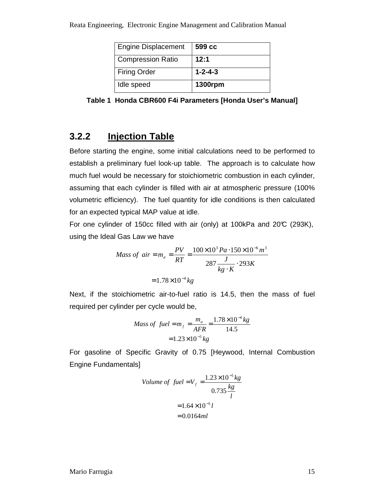| <b>Engine Displacement</b> | 599 cc          |
|----------------------------|-----------------|
| <b>Compression Ratio</b>   | 12:1            |
| <b>Firing Order</b>        | $1 - 2 - 4 - 3$ |
| Idle speed                 | <b>1300rpm</b>  |

**Table 1 Honda CBR600 F4i Parameters [Honda User's Manual]** 

## **3.2.2 Injection Table**

Before starting the engine, some initial calculations need to be performed to establish a preliminary fuel look-up table. The approach is to calculate how much fuel would be necessary for stoichiometric combustion in each cylinder, assuming that each cylinder is filled with air at atmospheric pressure (100% volumetric efficiency). The fuel quantity for idle conditions is then calculated for an expected typical MAP value at idle.

For one cylinder of 150cc filled with air (only) at 100kPa and 20°C (293K), using the Ideal Gas Law we have

Mass of air = 
$$
m_a = \frac{PV}{RT} = \frac{100 \times 10^3 Pa \cdot 150 \times 10^{-6} m^3}{287 \frac{J}{kg \cdot K} \cdot 293K}
$$
  
= 1.78×10<sup>-4</sup> kg

Next, if the stoichiometric air-to-fuel ratio is 14.5, then the mass of fuel required per cylinder per cycle would be,

Mass of fuel = 
$$
m_f = \frac{m_a}{AFR} = \frac{1.78 \times 10^{-4} kg}{14.5}
$$
  
=  $1.23 \times 10^{-5} kg$ 

For gasoline of Specific Gravity of 0.75 [Heywood, Internal Combustion Engine Fundamentals]

Volume of fuel = 
$$
V_f = \frac{1.23 \times 10^{-5} kg}{0.735 \frac{kg}{l}}
$$
  
= 1.64×10<sup>-5</sup> l  
= 0.0164ml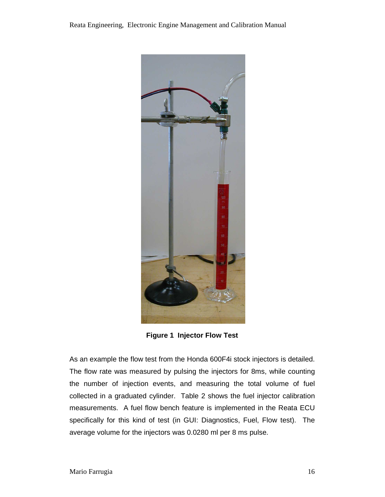

**Figure 1 Injector Flow Test** 

As an example the flow test from the Honda 600F4i stock injectors is detailed. The flow rate was measured by pulsing the injectors for 8ms, while counting the number of injection events, and measuring the total volume of fuel collected in a graduated cylinder. Table 2 shows the fuel injector calibration measurements. A fuel flow bench feature is implemented in the Reata ECU specifically for this kind of test (in GUI: Diagnostics, Fuel, Flow test). The average volume for the injectors was 0.0280 ml per 8 ms pulse.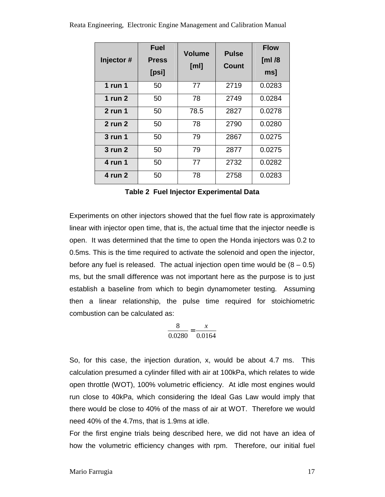| Injector#   | <b>Fuel</b><br><b>Press</b><br>[psi] | <b>Volume</b><br>[ml] | <b>Pulse</b><br>Count | <b>Flow</b><br>[ $ml/8$<br>msl |
|-------------|--------------------------------------|-----------------------|-----------------------|--------------------------------|
| $1$ run $1$ | 50                                   | 77                    | 2719                  | 0.0283                         |
| $1$ run $2$ | 50                                   | 78                    | 2749                  | 0.0284                         |
| $2$ run 1   | 50                                   | 78.5                  | 2827                  | 0.0278                         |
| 2 run 2     | 50                                   | 78                    | 2790                  | 0.0280                         |
| 3 run 1     | 50                                   | 79                    | 2867                  | 0.0275                         |
| 3 run 2     | 50                                   | 79                    | 2877                  | 0.0275                         |

Reata Engineering, Electronic Engine Management and Calibration Manual

**Table 2 Fuel Injector Experimental Data** 

**4 run 1** 50 77 2732 0.0282

**4 run 2** | 50 | 78 | 2758 | 0.0283

Experiments on other injectors showed that the fuel flow rate is approximately linear with injector open time, that is, the actual time that the injector needle is open. It was determined that the time to open the Honda injectors was 0.2 to 0.5ms. This is the time required to activate the solenoid and open the injector, before any fuel is released. The actual injection open time would be  $(8 - 0.5)$ ms, but the small difference was not important here as the purpose is to just establish a baseline from which to begin dynamometer testing. Assuming then a linear relationship, the pulse time required for stoichiometric combustion can be calculated as:

$$
\frac{8}{0.0280} = \frac{x}{0.0164}
$$

So, for this case, the injection duration, x, would be about 4.7 ms. This calculation presumed a cylinder filled with air at 100kPa, which relates to wide open throttle (WOT), 100% volumetric efficiency. At idle most engines would run close to 40kPa, which considering the Ideal Gas Law would imply that there would be close to 40% of the mass of air at WOT. Therefore we would need 40% of the 4.7ms, that is 1.9ms at idle.

For the first engine trials being described here, we did not have an idea of how the volumetric efficiency changes with rpm. Therefore, our initial fuel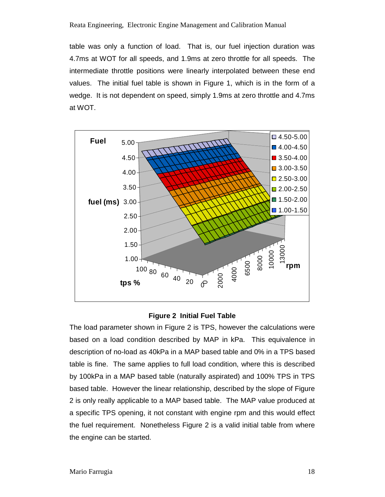table was only a function of load. That is, our fuel injection duration was 4.7ms at WOT for all speeds, and 1.9ms at zero throttle for all speeds. The intermediate throttle positions were linearly interpolated between these end values. The initial fuel table is shown in Figure 1, which is in the form of a wedge. It is not dependent on speed, simply 1.9ms at zero throttle and 4.7ms at WOT.



#### **Figure 2 Initial Fuel Table**

The load parameter shown in Figure 2 is TPS, however the calculations were based on a load condition described by MAP in kPa. This equivalence in description of no-load as 40kPa in a MAP based table and 0% in a TPS based table is fine. The same applies to full load condition, where this is described by 100kPa in a MAP based table (naturally aspirated) and 100% TPS in TPS based table. However the linear relationship, described by the slope of Figure 2 is only really applicable to a MAP based table. The MAP value produced at a specific TPS opening, it not constant with engine rpm and this would effect the fuel requirement. Nonetheless Figure 2 is a valid initial table from where the engine can be started.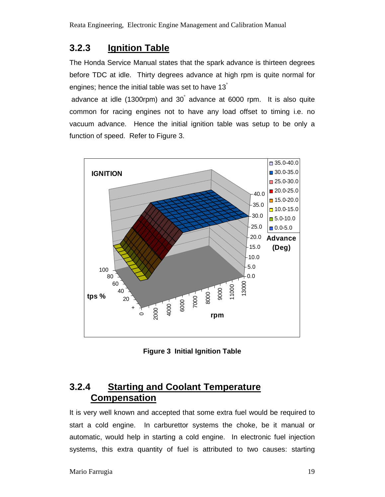## **3.2.3 Ignition Table**

The Honda Service Manual states that the spark advance is thirteen degrees before TDC at idle. Thirty degrees advance at high rpm is quite normal for engines; hence the initial table was set to have 13°

 advance at idle (1300rpm) and 30° advance at 6000 rpm. It is also quite common for racing engines not to have any load offset to timing i.e. no vacuum advance. Hence the initial ignition table was setup to be only a function of speed. Refer to Figure 3.



**Figure 3 Initial Ignition Table** 

## **3.2.4 Starting and Coolant Temperature Compensation**

It is very well known and accepted that some extra fuel would be required to start a cold engine. In carburettor systems the choke, be it manual or automatic, would help in starting a cold engine. In electronic fuel injection systems, this extra quantity of fuel is attributed to two causes: starting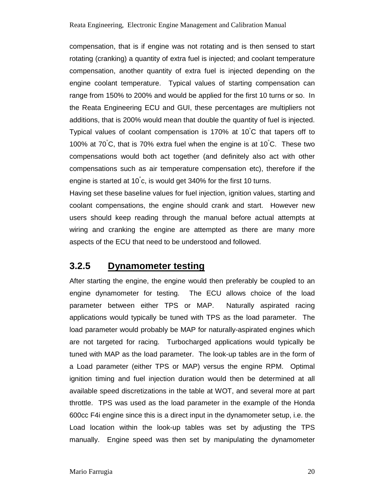compensation, that is if engine was not rotating and is then sensed to start rotating (cranking) a quantity of extra fuel is injected; and coolant temperature compensation, another quantity of extra fuel is injected depending on the engine coolant temperature. Typical values of starting compensation can range from 150% to 200% and would be applied for the first 10 turns or so. In the Reata Engineering ECU and GUI, these percentages are multipliers not additions, that is 200% would mean that double the quantity of fuel is injected. Typical values of coolant compensation is 170% at 10 °C that tapers off to 100% at 70°C, that is 70% extra fuel when the engine is at 10°C. These two compensations would both act together (and definitely also act with other compensations such as air temperature compensation etc), therefore if the engine is started at 10°c, is would get 340% for the first 10 turns.

Having set these baseline values for fuel injection, ignition values, starting and coolant compensations, the engine should crank and start. However new users should keep reading through the manual before actual attempts at wiring and cranking the engine are attempted as there are many more aspects of the ECU that need to be understood and followed.

### **3.2.5 Dynamometer testing**

After starting the engine, the engine would then preferably be coupled to an engine dynamometer for testing. The ECU allows choice of the load parameter between either TPS or MAP. Naturally aspirated racing applications would typically be tuned with TPS as the load parameter. The load parameter would probably be MAP for naturally-aspirated engines which are not targeted for racing. Turbocharged applications would typically be tuned with MAP as the load parameter. The look-up tables are in the form of a Load parameter (either TPS or MAP) versus the engine RPM. Optimal ignition timing and fuel injection duration would then be determined at all available speed discretizations in the table at WOT, and several more at part throttle. TPS was used as the load parameter in the example of the Honda 600cc F4i engine since this is a direct input in the dynamometer setup, i.e. the Load location within the look-up tables was set by adjusting the TPS manually. Engine speed was then set by manipulating the dynamometer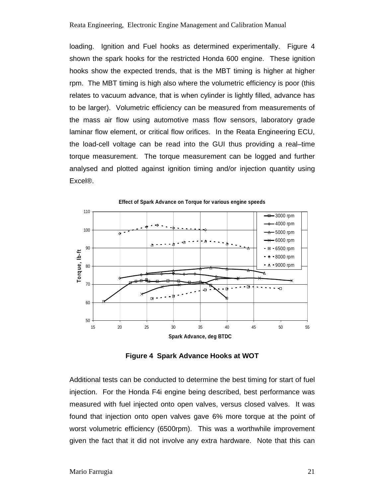loading. Ignition and Fuel hooks as determined experimentally. Figure 4 shown the spark hooks for the restricted Honda 600 engine. These ignition hooks show the expected trends, that is the MBT timing is higher at higher rpm. The MBT timing is high also where the volumetric efficiency is poor (this relates to vacuum advance, that is when cylinder is lightly filled, advance has to be larger). Volumetric efficiency can be measured from measurements of the mass air flow using automotive mass flow sensors, laboratory grade laminar flow element, or critical flow orifices. In the Reata Engineering ECU, the load-cell voltage can be read into the GUI thus providing a real–time torque measurement. The torque measurement can be logged and further analysed and plotted against ignition timing and/or injection quantity using Excel®.



**Effect of Spark Advance on Torque for various engine speeds** 

**Figure 4 Spark Advance Hooks at WOT** 

Additional tests can be conducted to determine the best timing for start of fuel injection. For the Honda F4i engine being described, best performance was measured with fuel injected onto open valves, versus closed valves. It was found that injection onto open valves gave 6% more torque at the point of worst volumetric efficiency (6500rpm). This was a worthwhile improvement given the fact that it did not involve any extra hardware. Note that this can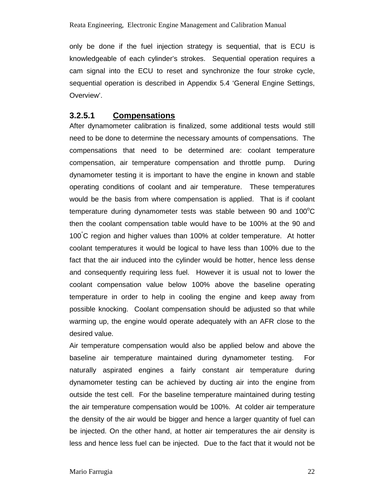only be done if the fuel injection strategy is sequential, that is ECU is knowledgeable of each cylinder's strokes. Sequential operation requires a cam signal into the ECU to reset and synchronize the four stroke cycle, sequential operation is described in Appendix 5.4 'General Engine Settings, Overview'.

#### **3.2.5.1 Compensations**

After dynamometer calibration is finalized, some additional tests would still need to be done to determine the necessary amounts of compensations. The compensations that need to be determined are: coolant temperature compensation, air temperature compensation and throttle pump. During dynamometer testing it is important to have the engine in known and stable operating conditions of coolant and air temperature. These temperatures would be the basis from where compensation is applied. That is if coolant temperature during dynamometer tests was stable between 90 and 100 $\mathrm{°C}$ then the coolant compensation table would have to be 100% at the 90 and 100°C region and higher values than 100% at colder temperature. At hotter coolant temperatures it would be logical to have less than 100% due to the fact that the air induced into the cylinder would be hotter, hence less dense and consequently requiring less fuel. However it is usual not to lower the coolant compensation value below 100% above the baseline operating temperature in order to help in cooling the engine and keep away from possible knocking. Coolant compensation should be adjusted so that while warming up, the engine would operate adequately with an AFR close to the desired value.

Air temperature compensation would also be applied below and above the baseline air temperature maintained during dynamometer testing. For naturally aspirated engines a fairly constant air temperature during dynamometer testing can be achieved by ducting air into the engine from outside the test cell. For the baseline temperature maintained during testing the air temperature compensation would be 100%. At colder air temperature the density of the air would be bigger and hence a larger quantity of fuel can be injected. On the other hand, at hotter air temperatures the air density is less and hence less fuel can be injected. Due to the fact that it would not be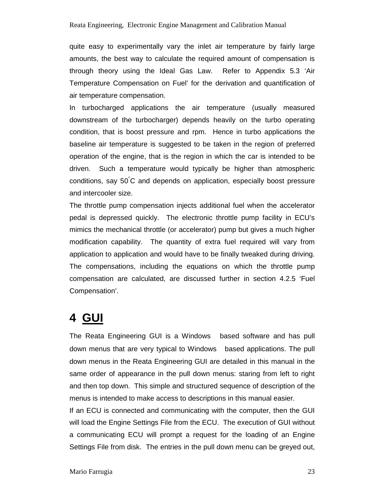quite easy to experimentally vary the inlet air temperature by fairly large amounts, the best way to calculate the required amount of compensation is through theory using the Ideal Gas Law. Refer to Appendix 5.3 'Air Temperature Compensation on Fuel' for the derivation and quantification of air temperature compensation.

In turbocharged applications the air temperature (usually measured downstream of the turbocharger) depends heavily on the turbo operating condition, that is boost pressure and rpm. Hence in turbo applications the baseline air temperature is suggested to be taken in the region of preferred operation of the engine, that is the region in which the car is intended to be driven. Such a temperature would typically be higher than atmospheric conditions, say 50°C and depends on application, especially boost pressure and intercooler size.

The throttle pump compensation injects additional fuel when the accelerator pedal is depressed quickly. The electronic throttle pump facility in ECU's mimics the mechanical throttle (or accelerator) pump but gives a much higher modification capability. The quantity of extra fuel required will vary from application to application and would have to be finally tweaked during driving. The compensations, including the equations on which the throttle pump compensation are calculated, are discussed further in section 4.2.5 'Fuel Compensation'.

# **4 GUI**

The Reata Engineering GUI is a Windows<sup>®</sup> based software and has pull down menus that are very typical to Windows<sup>®</sup> based applications. The pull down menus in the Reata Engineering GUI are detailed in this manual in the same order of appearance in the pull down menus: staring from left to right and then top down. This simple and structured sequence of description of the menus is intended to make access to descriptions in this manual easier.

If an ECU is connected and communicating with the computer, then the GUI will load the Engine Settings File from the ECU. The execution of GUI without a communicating ECU will prompt a request for the loading of an Engine Settings File from disk. The entries in the pull down menu can be greyed out,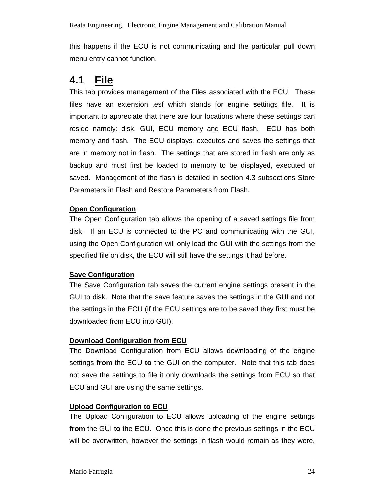this happens if the ECU is not communicating and the particular pull down menu entry cannot function.

## **4.1 File**

This tab provides management of the Files associated with the ECU. These files have an extension .esf which stands for **e**ngine **s**ettings **f**ile. It is important to appreciate that there are four locations where these settings can reside namely: disk, GUI, ECU memory and ECU flash. ECU has both memory and flash. The ECU displays, executes and saves the settings that are in memory not in flash. The settings that are stored in flash are only as backup and must first be loaded to memory to be displayed, executed or saved. Management of the flash is detailed in section 4.3 subsections Store Parameters in Flash and Restore Parameters from Flash.

#### **Open Configuration**

The Open Configuration tab allows the opening of a saved settings file from disk. If an ECU is connected to the PC and communicating with the GUI, using the Open Configuration will only load the GUI with the settings from the specified file on disk, the ECU will still have the settings it had before.

#### **Save Configuration**

The Save Configuration tab saves the current engine settings present in the GUI to disk. Note that the save feature saves the settings in the GUI and not the settings in the ECU (if the ECU settings are to be saved they first must be downloaded from ECU into GUI).

#### **Download Configuration from ECU**

The Download Configuration from ECU allows downloading of the engine settings **from** the ECU **to** the GUI on the computer. Note that this tab does not save the settings to file it only downloads the settings from ECU so that ECU and GUI are using the same settings.

#### **Upload Configuration to ECU**

The Upload Configuration to ECU allows uploading of the engine settings **from** the GUI **to** the ECU. Once this is done the previous settings in the ECU will be overwritten, however the settings in flash would remain as they were.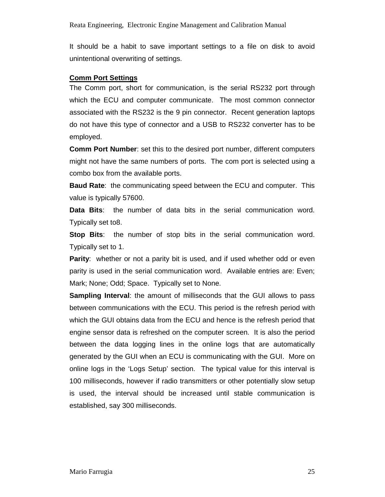It should be a habit to save important settings to a file on disk to avoid unintentional overwriting of settings.

#### **Comm Port Settings**

The Comm port, short for communication, is the serial RS232 port through which the ECU and computer communicate. The most common connector associated with the RS232 is the 9 pin connector. Recent generation laptops do not have this type of connector and a USB to RS232 converter has to be employed.

**Comm Port Number**: set this to the desired port number, different computers might not have the same numbers of ports. The com port is selected using a combo box from the available ports.

**Baud Rate**: the communicating speed between the ECU and computer. This value is typically 57600.

**Data Bits**: the number of data bits in the serial communication word. Typically set to8.

**Stop Bits**: the number of stop bits in the serial communication word. Typically set to 1.

**Parity**: whether or not a parity bit is used, and if used whether odd or even parity is used in the serial communication word. Available entries are: Even; Mark; None; Odd; Space. Typically set to None.

**Sampling Interval**: the amount of milliseconds that the GUI allows to pass between communications with the ECU. This period is the refresh period with which the GUI obtains data from the ECU and hence is the refresh period that engine sensor data is refreshed on the computer screen. It is also the period between the data logging lines in the online logs that are automatically generated by the GUI when an ECU is communicating with the GUI. More on online logs in the 'Logs Setup' section. The typical value for this interval is 100 milliseconds, however if radio transmitters or other potentially slow setup is used, the interval should be increased until stable communication is established, say 300 milliseconds.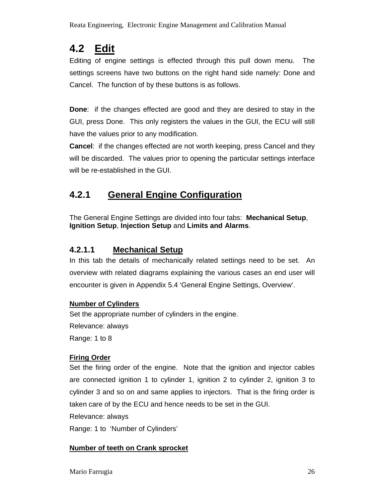## **4.2 Edit**

Editing of engine settings is effected through this pull down menu. The settings screens have two buttons on the right hand side namely: Done and Cancel. The function of by these buttons is as follows.

**Done**: if the changes effected are good and they are desired to stay in the GUI, press Done. This only registers the values in the GUI, the ECU will still have the values prior to any modification.

**Cancel**: if the changes effected are not worth keeping, press Cancel and they will be discarded. The values prior to opening the particular settings interface will be re-established in the GUI.

## **4.2.1 General Engine Configuration**

The General Engine Settings are divided into four tabs: **Mechanical Setup**, **Ignition Setup**, **Injection Setup** and **Limits and Alarms**.

### **4.2.1.1 Mechanical Setup**

In this tab the details of mechanically related settings need to be set. An overview with related diagrams explaining the various cases an end user will encounter is given in Appendix 5.4 'General Engine Settings, Overview'.

### **Number of Cylinders**

Set the appropriate number of cylinders in the engine.

Relevance: always

Range: 1 to 8

### **Firing Order**

Set the firing order of the engine. Note that the ignition and injector cables are connected ignition 1 to cylinder 1, ignition 2 to cylinder 2, ignition 3 to cylinder 3 and so on and same applies to injectors. That is the firing order is taken care of by the ECU and hence needs to be set in the GUI.

Relevance: always

Range: 1 to 'Number of Cylinders'

### **Number of teeth on Crank sprocket**

Mario Farrugia 26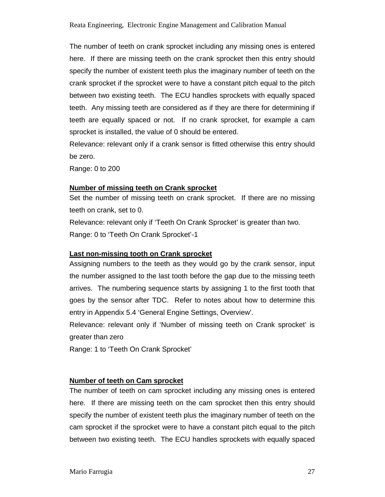The number of teeth on crank sprocket including any missing ones is entered here. If there are missing teeth on the crank sprocket then this entry should specify the number of existent teeth plus the imaginary number of teeth on the crank sprocket if the sprocket were to have a constant pitch equal to the pitch between two existing teeth. The ECU handles sprockets with equally spaced teeth. Any missing teeth are considered as if they are there for determining if teeth are equally spaced or not. If no crank sprocket, for example a cam sprocket is installed, the value of 0 should be entered.

Relevance: relevant only if a crank sensor is fitted otherwise this entry should be zero.

Range: 0 to 200

#### **Number of missing teeth on Crank sprocket**

Set the number of missing teeth on crank sprocket. If there are no missing teeth on crank, set to 0.

Relevance: relevant only if 'Teeth On Crank Sprocket' is greater than two. Range: 0 to 'Teeth On Crank Sprocket'-1

#### **Last non-missing tooth on Crank sprocket**

Assigning numbers to the teeth as they would go by the crank sensor, input the number assigned to the last tooth before the gap due to the missing teeth arrives. The numbering sequence starts by assigning 1 to the first tooth that goes by the sensor after TDC. Refer to notes about how to determine this entry in Appendix 5.4 'General Engine Settings, Overview'.

Relevance: relevant only if 'Number of missing teeth on Crank sprocket' is greater than zero

Range: 1 to 'Teeth On Crank Sprocket'

#### **Number of teeth on Cam sprocket**

The number of teeth on cam sprocket including any missing ones is entered here. If there are missing teeth on the cam sprocket then this entry should specify the number of existent teeth plus the imaginary number of teeth on the cam sprocket if the sprocket were to have a constant pitch equal to the pitch between two existing teeth. The ECU handles sprockets with equally spaced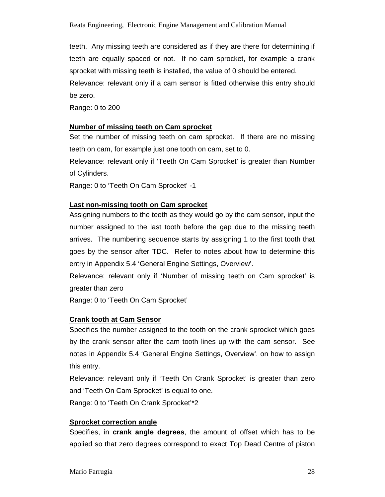Reata Engineering, Electronic Engine Management and Calibration Manual

teeth. Any missing teeth are considered as if they are there for determining if teeth are equally spaced or not. If no cam sprocket, for example a crank sprocket with missing teeth is installed, the value of 0 should be entered. Relevance: relevant only if a cam sensor is fitted otherwise this entry should be zero.

Range: 0 to 200

#### **Number of missing teeth on Cam sprocket**

Set the number of missing teeth on cam sprocket. If there are no missing teeth on cam, for example just one tooth on cam, set to 0.

Relevance: relevant only if 'Teeth On Cam Sprocket' is greater than Number of Cylinders.

Range: 0 to 'Teeth On Cam Sprocket' -1

#### **Last non-missing tooth on Cam sprocket**

Assigning numbers to the teeth as they would go by the cam sensor, input the number assigned to the last tooth before the gap due to the missing teeth arrives. The numbering sequence starts by assigning 1 to the first tooth that goes by the sensor after TDC. Refer to notes about how to determine this entry in Appendix 5.4 'General Engine Settings, Overview'.

Relevance: relevant only if 'Number of missing teeth on Cam sprocket' is greater than zero

Range: 0 to 'Teeth On Cam Sprocket'

#### **Crank tooth at Cam Sensor**

Specifies the number assigned to the tooth on the crank sprocket which goes by the crank sensor after the cam tooth lines up with the cam sensor. See notes in Appendix 5.4 'General Engine Settings, Overview'. on how to assign this entry.

Relevance: relevant only if 'Teeth On Crank Sprocket' is greater than zero and 'Teeth On Cam Sprocket' is equal to one.

Range: 0 to 'Teeth On Crank Sprocket'\*2

#### **Sprocket correction angle**

Specifies, in **crank angle degrees**, the amount of offset which has to be applied so that zero degrees correspond to exact Top Dead Centre of piston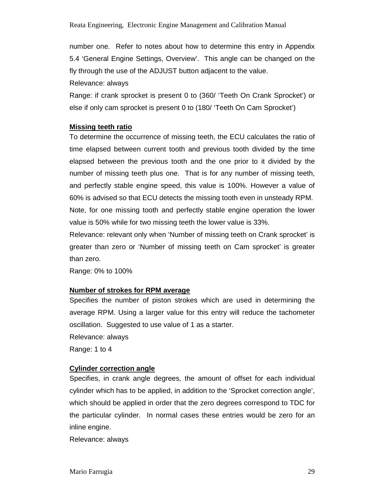number one. Refer to notes about how to determine this entry in Appendix 5.4 'General Engine Settings, Overview'. This angle can be changed on the fly through the use of the ADJUST button adjacent to the value.

Relevance: always

Range: if crank sprocket is present 0 to (360/ 'Teeth On Crank Sprocket') or else if only cam sprocket is present 0 to (180/ 'Teeth On Cam Sprocket')

#### **Missing teeth ratio**

To determine the occurrence of missing teeth, the ECU calculates the ratio of time elapsed between current tooth and previous tooth divided by the time elapsed between the previous tooth and the one prior to it divided by the number of missing teeth plus one. That is for any number of missing teeth, and perfectly stable engine speed, this value is 100%. However a value of 60% is advised so that ECU detects the missing tooth even in unsteady RPM. Note, for one missing tooth and perfectly stable engine operation the lower value is 50% while for two missing teeth the lower value is 33%.

Relevance: relevant only when 'Number of missing teeth on Crank sprocket' is greater than zero or 'Number of missing teeth on Cam sprocket' is greater than zero.

Range: 0% to 100%

#### **Number of strokes for RPM average**

Specifies the number of piston strokes which are used in determining the average RPM. Using a larger value for this entry will reduce the tachometer oscillation. Suggested to use value of 1 as a starter.

Relevance: always

Range: 1 to 4

#### **Cylinder correction angle**

Specifies, in crank angle degrees, the amount of offset for each individual cylinder which has to be applied, in addition to the 'Sprocket correction angle', which should be applied in order that the zero degrees correspond to TDC for the particular cylinder. In normal cases these entries would be zero for an inline engine.

Relevance: always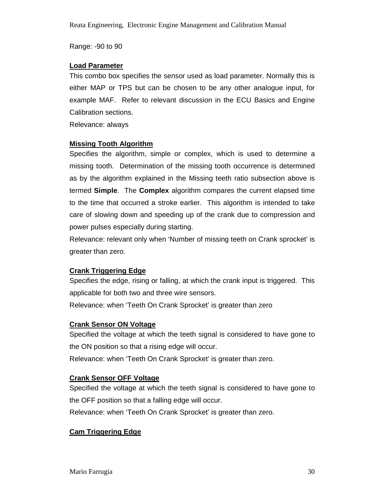Range: -90 to 90

#### **Load Parameter**

This combo box specifies the sensor used as load parameter. Normally this is either MAP or TPS but can be chosen to be any other analogue input, for example MAF. Refer to relevant discussion in the ECU Basics and Engine Calibration sections.

Relevance: always

#### **Missing Tooth Algorithm**

Specifies the algorithm, simple or complex, which is used to determine a missing tooth. Determination of the missing tooth occurrence is determined as by the algorithm explained in the Missing teeth ratio subsection above is termed **Simple**. The **Complex** algorithm compares the current elapsed time to the time that occurred a stroke earlier. This algorithm is intended to take care of slowing down and speeding up of the crank due to compression and power pulses especially during starting.

Relevance: relevant only when 'Number of missing teeth on Crank sprocket' is greater than zero.

#### **Crank Triggering Edge**

Specifies the edge, rising or falling, at which the crank input is triggered. This applicable for both two and three wire sensors.

Relevance: when 'Teeth On Crank Sprocket' is greater than zero

#### **Crank Sensor ON Voltage**

Specified the voltage at which the teeth signal is considered to have gone to the ON position so that a rising edge will occur.

Relevance: when 'Teeth On Crank Sprocket' is greater than zero.

#### **Crank Sensor OFF Voltage**

Specified the voltage at which the teeth signal is considered to have gone to the OFF position so that a falling edge will occur.

Relevance: when 'Teeth On Crank Sprocket' is greater than zero.

#### **Cam Triggering Edge**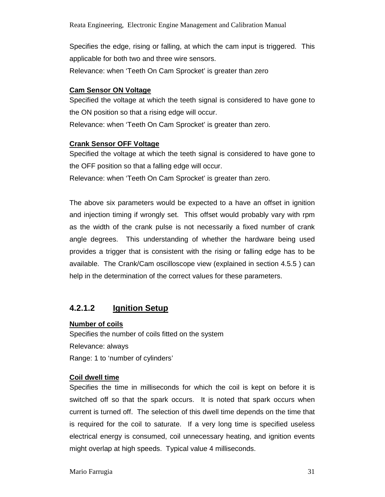Specifies the edge, rising or falling, at which the cam input is triggered. This applicable for both two and three wire sensors.

Relevance: when 'Teeth On Cam Sprocket' is greater than zero

#### **Cam Sensor ON Voltage**

Specified the voltage at which the teeth signal is considered to have gone to the ON position so that a rising edge will occur.

Relevance: when 'Teeth On Cam Sprocket' is greater than zero.

#### **Crank Sensor OFF Voltage**

Specified the voltage at which the teeth signal is considered to have gone to the OFF position so that a falling edge will occur.

Relevance: when 'Teeth On Cam Sprocket' is greater than zero.

The above six parameters would be expected to a have an offset in ignition and injection timing if wrongly set. This offset would probably vary with rpm as the width of the crank pulse is not necessarily a fixed number of crank angle degrees. This understanding of whether the hardware being used provides a trigger that is consistent with the rising or falling edge has to be available. The Crank/Cam oscilloscope view (explained in section 4.5.5 ) can help in the determination of the correct values for these parameters.

### **4.2.1.2 Ignition Setup**

#### **Number of coils**

Specifies the number of coils fitted on the system Relevance: always Range: 1 to 'number of cylinders'

#### **Coil dwell time**

Specifies the time in milliseconds for which the coil is kept on before it is switched off so that the spark occurs. It is noted that spark occurs when current is turned off. The selection of this dwell time depends on the time that is required for the coil to saturate. If a very long time is specified useless electrical energy is consumed, coil unnecessary heating, and ignition events might overlap at high speeds. Typical value 4 milliseconds.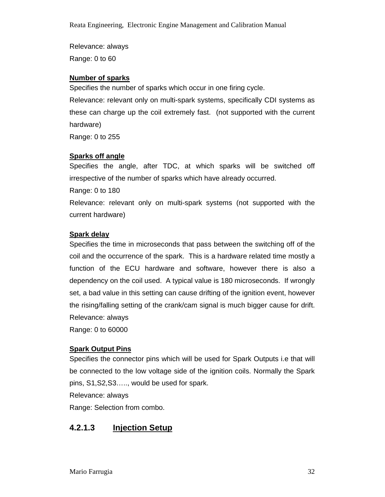Relevance: always Range: 0 to 60

#### **Number of sparks**

Specifies the number of sparks which occur in one firing cycle.

Relevance: relevant only on multi-spark systems, specifically CDI systems as these can charge up the coil extremely fast. (not supported with the current hardware)

Range: 0 to 255

#### **Sparks off angle**

Specifies the angle, after TDC, at which sparks will be switched off irrespective of the number of sparks which have already occurred.

Range: 0 to 180

Relevance: relevant only on multi-spark systems (not supported with the current hardware)

#### **Spark delay**

Specifies the time in microseconds that pass between the switching off of the coil and the occurrence of the spark. This is a hardware related time mostly a function of the ECU hardware and software, however there is also a dependency on the coil used. A typical value is 180 microseconds. If wrongly set, a bad value in this setting can cause drifting of the ignition event, however the rising/falling setting of the crank/cam signal is much bigger cause for drift. Relevance: always Range: 0 to 60000

#### **Spark Output Pins**

Specifies the connector pins which will be used for Spark Outputs i.e that will be connected to the low voltage side of the ignition coils. Normally the Spark pins, S1,S2,S3….., would be used for spark.

Relevance: always

Range: Selection from combo.

### **4.2.1.3 Injection Setup**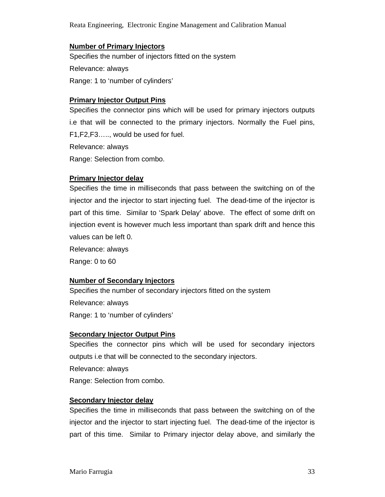Reata Engineering, Electronic Engine Management and Calibration Manual

#### **Number of Primary Injectors**

Specifies the number of injectors fitted on the system Relevance: always Range: 1 to 'number of cylinders'

#### **Primary Injector Output Pins**

Specifies the connector pins which will be used for primary injectors outputs i.e that will be connected to the primary injectors. Normally the Fuel pins, F1,F2,F3….., would be used for fuel.

Relevance: always

Range: Selection from combo.

#### **Primary Injector delay**

Specifies the time in milliseconds that pass between the switching on of the injector and the injector to start injecting fuel. The dead-time of the injector is part of this time. Similar to 'Spark Delay' above. The effect of some drift on injection event is however much less important than spark drift and hence this values can be left 0.

Relevance: always

Range: 0 to 60

#### **Number of Secondary Injectors**

Specifies the number of secondary injectors fitted on the system Relevance: always Range: 1 to 'number of cylinders'

#### **Secondary Injector Output Pins**

Specifies the connector pins which will be used for secondary injectors outputs i.e that will be connected to the secondary injectors. Relevance: always Range: Selection from combo.

#### **Secondary Injector delay**

Specifies the time in milliseconds that pass between the switching on of the injector and the injector to start injecting fuel. The dead-time of the injector is part of this time. Similar to Primary injector delay above, and similarly the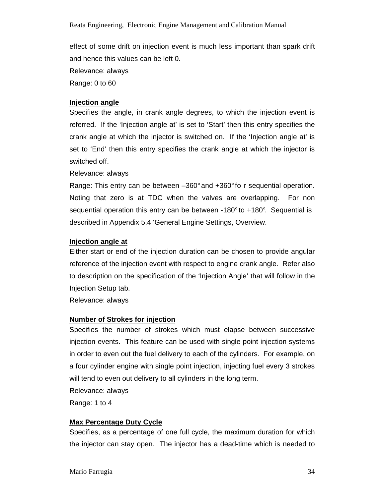effect of some drift on injection event is much less important than spark drift and hence this values can be left 0.

Relevance: always

Range: 0 to 60

#### **Injection angle**

Specifies the angle, in crank angle degrees, to which the injection event is referred. If the 'Injection angle at' is set to 'Start' then this entry specifies the crank angle at which the injector is switched on. If the 'Injection angle at' is set to 'End' then this entry specifies the crank angle at which the injector is switched off.

#### Relevance: always

Range: This entry can be between –360° and +360° fo r sequential operation. Noting that zero is at TDC when the valves are overlapping. For non sequential operation this entry can be between -180° to +180°. Sequential is described in Appendix 5.4 'General Engine Settings, Overview.

#### **Injection angle at**

Either start or end of the injection duration can be chosen to provide angular reference of the injection event with respect to engine crank angle. Refer also to description on the specification of the 'Injection Angle' that will follow in the Injection Setup tab.

Relevance: always

#### **Number of Strokes for injection**

Specifies the number of strokes which must elapse between successive injection events. This feature can be used with single point injection systems in order to even out the fuel delivery to each of the cylinders. For example, on a four cylinder engine with single point injection, injecting fuel every 3 strokes will tend to even out delivery to all cylinders in the long term.

Relevance: always

Range: 1 to 4

#### **Max Percentage Duty Cycle**

Specifies, as a percentage of one full cycle, the maximum duration for which the injector can stay open. The injector has a dead-time which is needed to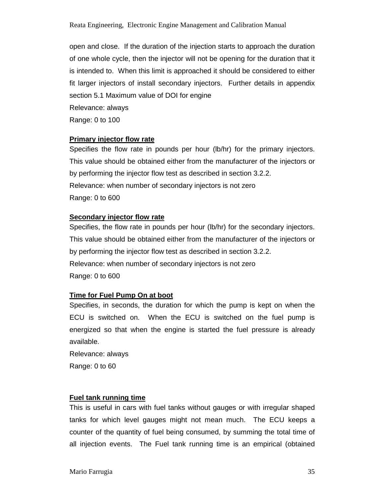open and close. If the duration of the injection starts to approach the duration of one whole cycle, then the injector will not be opening for the duration that it is intended to. When this limit is approached it should be considered to either fit larger injectors of install secondary injectors. Further details in appendix section 5.1 Maximum value of DOI for engine Relevance: always

Range: 0 to 100

#### **Primary injector flow rate**

Specifies the flow rate in pounds per hour (lb/hr) for the primary injectors. This value should be obtained either from the manufacturer of the injectors or by performing the injector flow test as described in section 3.2.2. Relevance: when number of secondary injectors is not zero Range: 0 to 600

#### **Secondary injector flow rate**

Specifies, the flow rate in pounds per hour (lb/hr) for the secondary injectors. This value should be obtained either from the manufacturer of the injectors or by performing the injector flow test as described in section 3.2.2. Relevance: when number of secondary injectors is not zero Range: 0 to 600

#### **Time for Fuel Pump On at boot**

Specifies, in seconds, the duration for which the pump is kept on when the ECU is switched on. When the ECU is switched on the fuel pump is energized so that when the engine is started the fuel pressure is already available.

Relevance: always

Range: 0 to 60

#### **Fuel tank running time**

This is useful in cars with fuel tanks without gauges or with irregular shaped tanks for which level gauges might not mean much. The ECU keeps a counter of the quantity of fuel being consumed, by summing the total time of all injection events. The Fuel tank running time is an empirical (obtained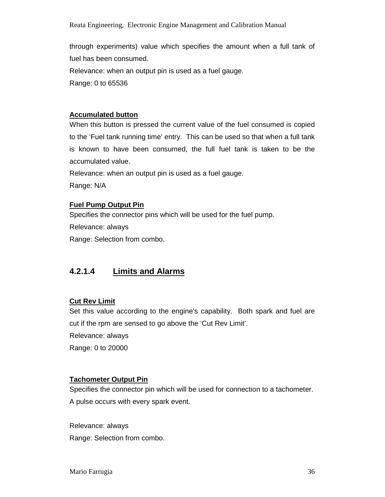through experiments) value which specifies the amount when a full tank of fuel has been consumed. Relevance: when an output pin is used as a fuel gauge.

Range: 0 to 65536

#### **Accumulated button**

When this button is pressed the current value of the fuel consumed is copied to the 'Fuel tank running time' entry. This can be used so that when a full tank is known to have been consumed, the full fuel tank is taken to be the accumulated value.

Relevance: when an output pin is used as a fuel gauge.

Range: N/A

#### **Fuel Pump Output Pin**

Specifies the connector pins which will be used for the fuel pump.

Relevance: always

Range: Selection from combo.

### **4.2.1.4 Limits and Alarms**

#### **Cut Rev Limit**

Set this value according to the engine's capability. Both spark and fuel are cut if the rpm are sensed to go above the 'Cut Rev Limit'.

Relevance: always

Range: 0 to 20000

#### **Tachometer Output Pin**

Specifies the connector pin which will be used for connection to a tachometer. A pulse occurs with every spark event.

Relevance: always Range: Selection from combo.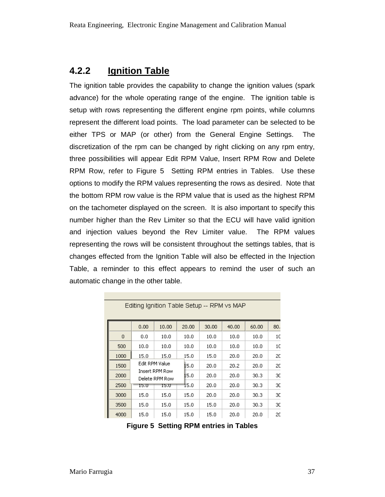### **4.2.2 Ignition Table**

The ignition table provides the capability to change the ignition values (spark advance) for the whole operating range of the engine. The ignition table is setup with rows representing the different engine rpm points, while columns represent the different load points. The load parameter can be selected to be either TPS or MAP (or other) from the General Engine Settings. The discretization of the rpm can be changed by right clicking on any rpm entry, three possibilities will appear Edit RPM Value, Insert RPM Row and Delete RPM Row, refer to Figure 5 Setting RPM entries in Tables. Use these options to modify the RPM values representing the rows as desired. Note that the bottom RPM row value is the RPM value that is used as the highest RPM on the tachometer displayed on the screen. It is also important to specify this number higher than the Rev Limiter so that the ECU will have valid ignition and injection values beyond the Rev Limiter value. The RPM values representing the rows will be consistent throughout the settings tables, that is changes effected from the Ignition Table will also be effected in the Injection Table, a reminder to this effect appears to remind the user of such an automatic change in the other table.

|      | 0.00                                               | 10.00 | 20.00 | 30,00 | 40.00 | 60.00 | 80. |
|------|----------------------------------------------------|-------|-------|-------|-------|-------|-----|
| 0    | 0.0                                                | 10.0  | 10.0  | 10.0  | 10.0  | 10.0  | 10  |
| 500  | 10.0                                               | 10.0  | 10.0  | 10.0  | 10.0  | 10.0  | 1C  |
| 1000 | 15.0                                               | 15.0  | 15.0  | 15.0  | 20.0  | 20.0  | 20  |
| 1500 | Edit RPM Value<br>Insert RPM Row<br>Delete RPM Row |       | 15.0  | 20.0  | 20.2  | 20.0  | 20  |
| 2000 |                                                    |       | 15.0  | 20.0  | 20.0  | 30.3  | 30  |
| 2500 | 15.U                                               | 15.U  | 15.0  | 20.0  | 20.0  | 30.3  | зс  |
| 3000 | 15.0                                               | 15.0  | 15.0  | 20.0  | 20.0  | 30.3  | 30  |
| 3500 | 15.0                                               | 15.0  | 15.0  | 15.0  | 20.0  | 30.3  | зс  |
| 4000 | 15.0                                               | 15.0  | 15.0  | 15.0  | 20.0  | 20.0  | 20  |

Editing Ignition Table Setup -- RPM vs MAP

**Figure 5 Setting RPM entries in Tables**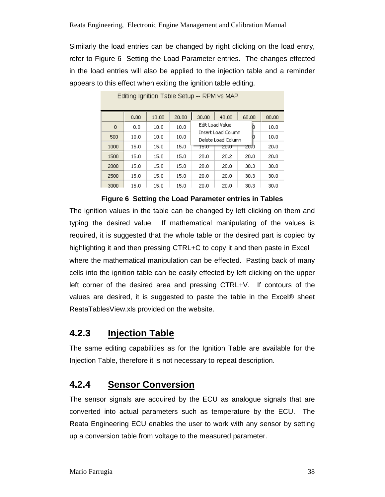Similarly the load entries can be changed by right clicking on the load entry, refer to Figure 6 Setting the Load Parameter entries. The changes effected in the load entries will also be applied to the injection table and a reminder appears to this effect when exiting the ignition table editing.

|      | 0.00 | 10.00 | 20.00 | 30.00                                         | 40.00           | 60.00 | 80.00 |
|------|------|-------|-------|-----------------------------------------------|-----------------|-------|-------|
| 0    | 0.0  | 10.0  | 10.0  |                                               | Edit Load Value | D     | 10.0  |
| 500  | 10.0 | 10.0  | 10.0  | Insert Load Column<br>D<br>Delete Load Column |                 |       | 10.0  |
| 1000 | 15.0 | 15.0  | 15.0  | 15.0                                          | 20.U            | ZU.0  | 20.0  |
| 1500 | 15.0 | 15.0  | 15.0  | 20.0                                          | 20.2            | 20.0  | 20.0  |
| 2000 | 15.0 | 15.0  | 15.0  | 20.0                                          | 20.0            | 30.3  | 30.0  |
| 2500 | 15.0 | 15.0  | 15.0  | 20.0                                          | 20.0            | 30.3  | 30.0  |
| 3000 | 15.0 | 15.0  | 15.0  | 20.0                                          | 20.0            | 30.3  | 30.0  |

Editing Ignition Table Setup -- RPM vs MAP

**Figure 6 Setting the Load Parameter entries in Tables** 

The ignition values in the table can be changed by left clicking on them and typing the desired value. If mathematical manipulating of the values is required, it is suggested that the whole table or the desired part is copied by highlighting it and then pressing CTRL+C to copy it and then paste in Excel® where the mathematical manipulation can be effected. Pasting back of many cells into the ignition table can be easily effected by left clicking on the upper left corner of the desired area and pressing CTRL+V. If contours of the values are desired, it is suggested to paste the table in the Excel® sheet ReataTablesView.xls provided on the website.

## **4.2.3 Injection Table**

The same editing capabilities as for the Ignition Table are available for the Injection Table, therefore it is not necessary to repeat description.

## **4.2.4 Sensor Conversion**

The sensor signals are acquired by the ECU as analogue signals that are converted into actual parameters such as temperature by the ECU. The Reata Engineering ECU enables the user to work with any sensor by setting up a conversion table from voltage to the measured parameter.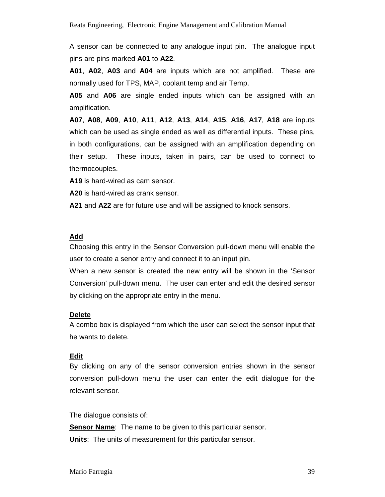A sensor can be connected to any analogue input pin. The analogue input pins are pins marked **A01** to **A22**.

**A01**, **A02**, **A03** and **A04** are inputs which are not amplified. These are normally used for TPS, MAP, coolant temp and air Temp.

**A05** and **A06** are single ended inputs which can be assigned with an amplification.

**A07**, **A08**, **A09**, **A10**, **A11**, **A12**, **A13**, **A14**, **A15**, **A16**, **A17**, **A18** are inputs which can be used as single ended as well as differential inputs. These pins, in both configurations, can be assigned with an amplification depending on their setup. These inputs, taken in pairs, can be used to connect to thermocouples.

**A19** is hard-wired as cam sensor.

**A20** is hard-wired as crank sensor.

**A21** and **A22** are for future use and will be assigned to knock sensors.

#### **Add**

Choosing this entry in the Sensor Conversion pull-down menu will enable the user to create a senor entry and connect it to an input pin.

When a new sensor is created the new entry will be shown in the 'Sensor Conversion' pull-down menu. The user can enter and edit the desired sensor by clicking on the appropriate entry in the menu.

#### **Delete**

A combo box is displayed from which the user can select the sensor input that he wants to delete.

#### **Edit**

By clicking on any of the sensor conversion entries shown in the sensor conversion pull-down menu the user can enter the edit dialogue for the relevant sensor.

The dialogue consists of:

**Sensor Name:** The name to be given to this particular sensor.

**Units**: The units of measurement for this particular sensor.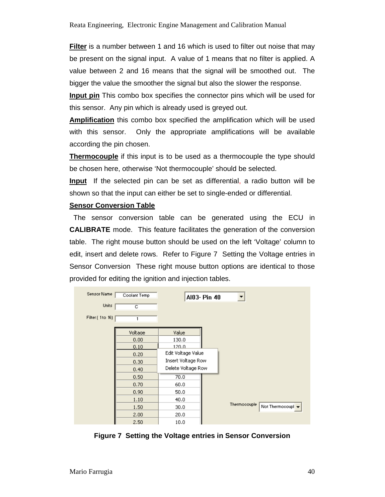**Filter** is a number between 1 and 16 which is used to filter out noise that may be present on the signal input. A value of 1 means that no filter is applied. A value between 2 and 16 means that the signal will be smoothed out. The bigger the value the smoother the signal but also the slower the response.

**Input pin** This combo box specifies the connector pins which will be used for this sensor. Any pin which is already used is greyed out.

**Amplification** this combo box specified the amplification which will be used with this sensor. Only the appropriate amplifications will be available according the pin chosen.

**Thermocouple** if this input is to be used as a thermocouple the type should be chosen here, otherwise 'Not thermocouple' should be selected.

**Input** If the selected pin can be set as differential, a radio button will be shown so that the input can either be set to single-ended or differential.

#### **Sensor Conversion Table**

 The sensor conversion table can be generated using the ECU in **CALIBRATE** mode. This feature facilitates the generation of the conversion table. The right mouse button should be used on the left 'Voltage' column to edit, insert and delete rows. Refer to Figure 7 Setting the Voltage entries in Sensor Conversion These right mouse button options are identical to those provided for editing the ignition and injection tables.

| Sensor Name     | Coolant Temp | Al03- Pin 40       |                                   |
|-----------------|--------------|--------------------|-----------------------------------|
| Units:          | c            |                    |                                   |
| Filter (1to 16) |              |                    |                                   |
|                 | Voltage      | Value              |                                   |
|                 | 0.00         | 130.0              |                                   |
|                 | 0.10         | 120.0              |                                   |
|                 | 0.20         | Edit Voltage Value |                                   |
|                 | 0.30         | Insert Voltage Row |                                   |
|                 | 0.40         | Delete Voltage Row |                                   |
|                 | 0.50         | 70.0               |                                   |
|                 | 0.70         | 60.0               |                                   |
|                 | 0.90         | 50.0               |                                   |
|                 | 1.10         | 40.0               |                                   |
|                 | 1.50         | 30.0               | Thermocouple<br>Not Thermocoupl v |
|                 | 2.00         | 20.0               |                                   |
|                 | 2.50         | 10.0               |                                   |

**Figure 7 Setting the Voltage entries in Sensor Conversion**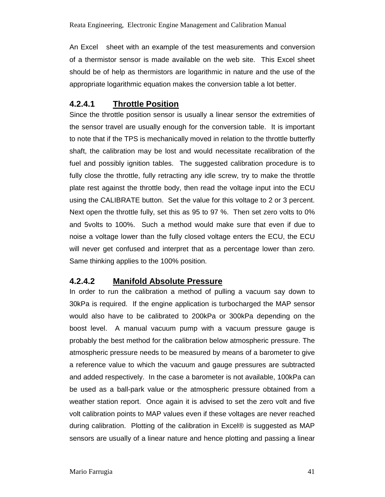An Excel<sup>®</sup> sheet with an example of the test measurements and conversion of a thermistor sensor is made available on the web site. This Excel sheet should be of help as thermistors are logarithmic in nature and the use of the appropriate logarithmic equation makes the conversion table a lot better.

### **4.2.4.1 Throttle Position**

Since the throttle position sensor is usually a linear sensor the extremities of the sensor travel are usually enough for the conversion table. It is important to note that if the TPS is mechanically moved in relation to the throttle butterfly shaft, the calibration may be lost and would necessitate recalibration of the fuel and possibly ignition tables. The suggested calibration procedure is to fully close the throttle, fully retracting any idle screw, try to make the throttle plate rest against the throttle body, then read the voltage input into the ECU using the CALIBRATE button. Set the value for this voltage to 2 or 3 percent. Next open the throttle fully, set this as 95 to 97 %. Then set zero volts to 0% and 5volts to 100%. Such a method would make sure that even if due to noise a voltage lower than the fully closed voltage enters the ECU, the ECU will never get confused and interpret that as a percentage lower than zero. Same thinking applies to the 100% position.

### **4.2.4.2 Manifold Absolute Pressure**

In order to run the calibration a method of pulling a vacuum say down to 30kPa is required. If the engine application is turbocharged the MAP sensor would also have to be calibrated to 200kPa or 300kPa depending on the boost level. A manual vacuum pump with a vacuum pressure gauge is probably the best method for the calibration below atmospheric pressure. The atmospheric pressure needs to be measured by means of a barometer to give a reference value to which the vacuum and gauge pressures are subtracted and added respectively. In the case a barometer is not available, 100kPa can be used as a ball-park value or the atmospheric pressure obtained from a weather station report. Once again it is advised to set the zero volt and five volt calibration points to MAP values even if these voltages are never reached during calibration. Plotting of the calibration in Excel® is suggested as MAP sensors are usually of a linear nature and hence plotting and passing a linear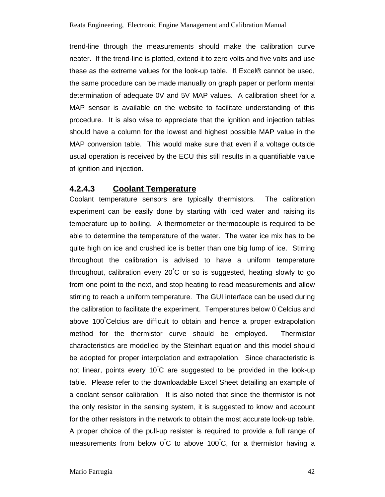trend-line through the measurements should make the calibration curve neater. If the trend-line is plotted, extend it to zero volts and five volts and use these as the extreme values for the look-up table. If Excel® cannot be used, the same procedure can be made manually on graph paper or perform mental determination of adequate 0V and 5V MAP values. A calibration sheet for a MAP sensor is available on the website to facilitate understanding of this procedure. It is also wise to appreciate that the ignition and injection tables should have a column for the lowest and highest possible MAP value in the MAP conversion table. This would make sure that even if a voltage outside usual operation is received by the ECU this still results in a quantifiable value of ignition and injection.

### **4.2.4.3 Coolant Temperature**

Coolant temperature sensors are typically thermistors. The calibration experiment can be easily done by starting with iced water and raising its temperature up to boiling. A thermometer or thermocouple is required to be able to determine the temperature of the water. The water ice mix has to be quite high on ice and crushed ice is better than one big lump of ice. Stirring throughout the calibration is advised to have a uniform temperature throughout, calibration every 20°C or so is suggested, heating slowly to go from one point to the next, and stop heating to read measurements and allow stirring to reach a uniform temperature. The GUI interface can be used during the calibration to facilitate the experiment. Temperatures below 0°Celcius and above 100°Celcius are difficult to obtain and hence a proper extrapolation method for the thermistor curve should be employed. Thermistor characteristics are modelled by the Steinhart equation and this model should be adopted for proper interpolation and extrapolation. Since characteristic is not linear, points every 10°C are suggested to be provided in the look-up table. Please refer to the downloadable Excel Sheet detailing an example of a coolant sensor calibration. It is also noted that since the thermistor is not the only resistor in the sensing system, it is suggested to know and account for the other resistors in the network to obtain the most accurate look-up table. A proper choice of the pull-up resister is required to provide a full range of measurements from below  $0^{\circ}$ C to above 100 $^{\circ}$ C, for a thermistor having a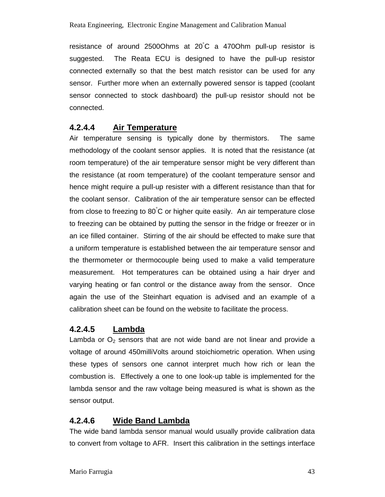resistance of around 2500Ohms at 20°C a 470Ohm pull-up resistor is suggested. The Reata ECU is designed to have the pull-up resistor connected externally so that the best match resistor can be used for any sensor. Further more when an externally powered sensor is tapped (coolant sensor connected to stock dashboard) the pull-up resistor should not be connected.

### **4.2.4.4 Air Temperature**

Air temperature sensing is typically done by thermistors. The same methodology of the coolant sensor applies. It is noted that the resistance (at room temperature) of the air temperature sensor might be very different than the resistance (at room temperature) of the coolant temperature sensor and hence might require a pull-up resister with a different resistance than that for the coolant sensor. Calibration of the air temperature sensor can be effected from close to freezing to 80°C or higher quite easily. An air temperature close to freezing can be obtained by putting the sensor in the fridge or freezer or in an ice filled container. Stirring of the air should be effected to make sure that a uniform temperature is established between the air temperature sensor and the thermometer or thermocouple being used to make a valid temperature measurement. Hot temperatures can be obtained using a hair dryer and varying heating or fan control or the distance away from the sensor. Once again the use of the Steinhart equation is advised and an example of a calibration sheet can be found on the website to facilitate the process.

### **4.2.4.5 Lambda**

Lambda or  $O<sub>2</sub>$  sensors that are not wide band are not linear and provide a voltage of around 450milliVolts around stoichiometric operation. When using these types of sensors one cannot interpret much how rich or lean the combustion is. Effectively a one to one look-up table is implemented for the lambda sensor and the raw voltage being measured is what is shown as the sensor output.

### **4.2.4.6 Wide Band Lambda**

The wide band lambda sensor manual would usually provide calibration data to convert from voltage to AFR. Insert this calibration in the settings interface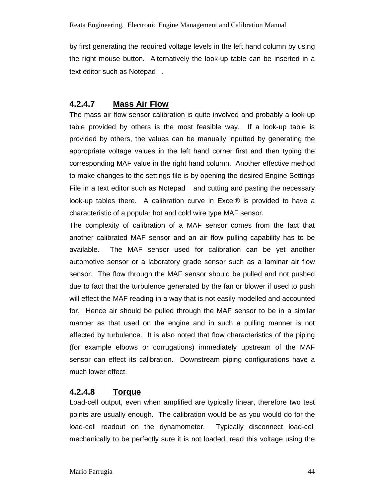by first generating the required voltage levels in the left hand column by using the right mouse button. Alternatively the look-up table can be inserted in a text editor such as Notepad®.

### **4.2.4.7 Mass Air Flow**

The mass air flow sensor calibration is quite involved and probably a look-up table provided by others is the most feasible way. If a look-up table is provided by others, the values can be manually inputted by generating the appropriate voltage values in the left hand corner first and then typing the corresponding MAF value in the right hand column. Another effective method to make changes to the settings file is by opening the desired Engine Settings File in a text editor such as Notepad $\circledast$  and cutting and pasting the necessary look-up tables there. A calibration curve in Excel® is provided to have a characteristic of a popular hot and cold wire type MAF sensor.

The complexity of calibration of a MAF sensor comes from the fact that another calibrated MAF sensor and an air flow pulling capability has to be available. The MAF sensor used for calibration can be yet another automotive sensor or a laboratory grade sensor such as a laminar air flow sensor. The flow through the MAF sensor should be pulled and not pushed due to fact that the turbulence generated by the fan or blower if used to push will effect the MAF reading in a way that is not easily modelled and accounted for. Hence air should be pulled through the MAF sensor to be in a similar manner as that used on the engine and in such a pulling manner is not effected by turbulence. It is also noted that flow characteristics of the piping (for example elbows or corrugations) immediately upstream of the MAF sensor can effect its calibration. Downstream piping configurations have a much lower effect.

### **4.2.4.8 Torque**

Load-cell output, even when amplified are typically linear, therefore two test points are usually enough. The calibration would be as you would do for the load-cell readout on the dynamometer. Typically disconnect load-cell mechanically to be perfectly sure it is not loaded, read this voltage using the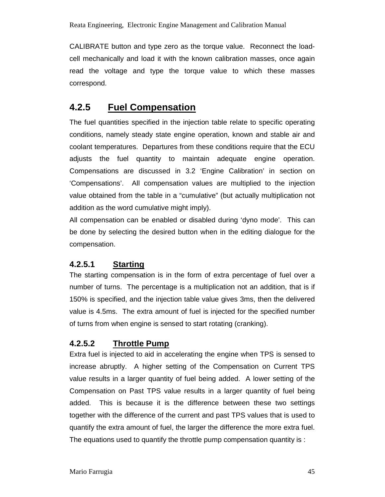CALIBRATE button and type zero as the torque value. Reconnect the loadcell mechanically and load it with the known calibration masses, once again read the voltage and type the torque value to which these masses correspond.

## **4.2.5 Fuel Compensation**

The fuel quantities specified in the injection table relate to specific operating conditions, namely steady state engine operation, known and stable air and coolant temperatures. Departures from these conditions require that the ECU adjusts the fuel quantity to maintain adequate engine operation. Compensations are discussed in 3.2 'Engine Calibration' in section on 'Compensations'. All compensation values are multiplied to the injection value obtained from the table in a "cumulative" (but actually multiplication not addition as the word cumulative might imply).

All compensation can be enabled or disabled during 'dyno mode'. This can be done by selecting the desired button when in the editing dialogue for the compensation.

### **4.2.5.1 Starting**

The starting compensation is in the form of extra percentage of fuel over a number of turns. The percentage is a multiplication not an addition, that is if 150% is specified, and the injection table value gives 3ms, then the delivered value is 4.5ms. The extra amount of fuel is injected for the specified number of turns from when engine is sensed to start rotating (cranking).

### **4.2.5.2 Throttle Pump**

Extra fuel is injected to aid in accelerating the engine when TPS is sensed to increase abruptly. A higher setting of the Compensation on Current TPS value results in a larger quantity of fuel being added. A lower setting of the Compensation on Past TPS value results in a larger quantity of fuel being added. This is because it is the difference between these two settings together with the difference of the current and past TPS values that is used to quantify the extra amount of fuel, the larger the difference the more extra fuel. The equations used to quantify the throttle pump compensation quantity is :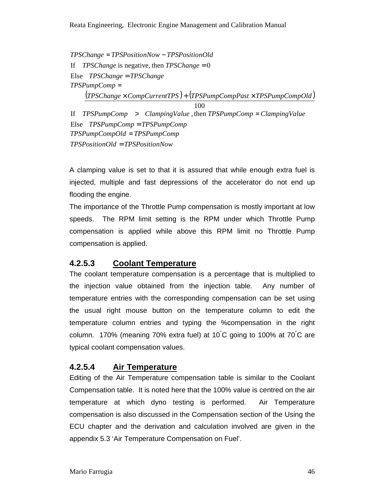Else TPSChange = TPSChange If  $TPSChange$  is negative, then  $TPSChange = 0$  $TPSC$ *hange* =  $TPSP$ *ositionNow* -  $TPSP$ *ositionOld*  $(TPSChange \times CompCurrent TPS) + (TPSPumpComp Past \times TPSPumpCompOld)$ 100 *TPSPumpComp* = Else TPSPumpComp = TPSPumpComp If  $TPSPumpComp > ClampingValue$ , then  $TPSPumpComp = ClampingValue$  $TPSPosition Old = TPSPositionNow$  $TPSPumpCompOld = TPSPumpComp$ 

A clamping value is set to that it is assured that while enough extra fuel is injected, multiple and fast depressions of the accelerator do not end up flooding the engine.

The importance of the Throttle Pump compensation is mostly important at low speeds. The RPM limit setting is the RPM under which Throttle Pump compensation is applied while above this RPM limit no Throttle Pump compensation is applied.

### **4.2.5.3 Coolant Temperature**

The coolant temperature compensation is a percentage that is multiplied to the injection value obtained from the injection table. Any number of temperature entries with the corresponding compensation can be set using the usual right mouse button on the temperature column to edit the temperature column entries and typing the %compensation in the right column. 170% (meaning 70% extra fuel) at 10 $\degree$ C going to 100% at 70 $\degree$ C are typical coolant compensation values.

### **4.2.5.4 Air Temperature**

Editing of the Air Temperature compensation table is similar to the Coolant Compensation table. It is noted here that the 100% value is centred on the air temperature at which dyno testing is performed. Air Temperature compensation is also discussed in the Compensation section of the Using the ECU chapter and the derivation and calculation involved are given in the appendix 5.3 'Air Temperature Compensation on Fuel'.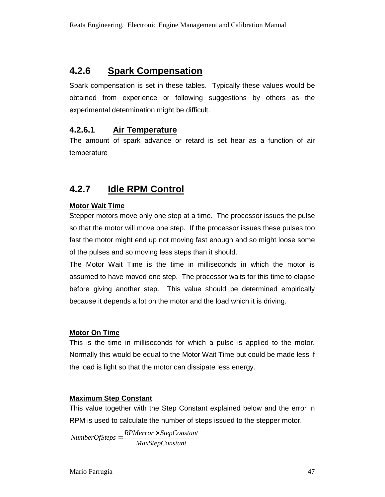## **4.2.6 Spark Compensation**

Spark compensation is set in these tables. Typically these values would be obtained from experience or following suggestions by others as the experimental determination might be difficult.

### **4.2.6.1 Air Temperature**

The amount of spark advance or retard is set hear as a function of air temperature

## **4.2.7 Idle RPM Control**

#### **Motor Wait Time**

Stepper motors move only one step at a time. The processor issues the pulse so that the motor will move one step. If the processor issues these pulses too fast the motor might end up not moving fast enough and so might loose some of the pulses and so moving less steps than it should.

The Motor Wait Time is the time in milliseconds in which the motor is assumed to have moved one step. The processor waits for this time to elapse before giving another step. This value should be determined empirically because it depends a lot on the motor and the load which it is driving.

#### **Motor On Time**

This is the time in milliseconds for which a pulse is applied to the motor. Normally this would be equal to the Motor Wait Time but could be made less if the load is light so that the motor can dissipate less energy.

#### **Maximum Step Constant**

This value together with the Step Constant explained below and the error in RPM is used to calculate the number of steps issued to the stepper motor.

*MaxStepConstant RPMerror StepConstant NumberOfSteps* ×  $NumberOfSteps =$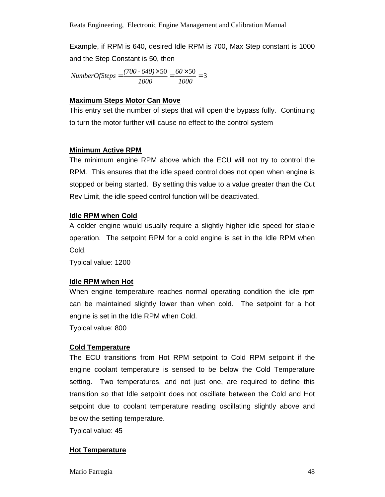Example, if RPM is 640, desired Idle RPM is 700, Max Step constant is 1000 and the Step Constant is 50, then

 $=\frac{(700 \cdot 640) \times 50}{1000} = \frac{60 \times 50}{1000} = 3$ *1000 60 1000 (700 - 640) NumberOfSteps*

#### **Maximum Steps Motor Can Move**

This entry set the number of steps that will open the bypass fully. Continuing to turn the motor further will cause no effect to the control system

#### **Minimum Active RPM**

The minimum engine RPM above which the ECU will not try to control the RPM. This ensures that the idle speed control does not open when engine is stopped or being started. By setting this value to a value greater than the Cut Rev Limit, the idle speed control function will be deactivated.

#### **Idle RPM when Cold**

A colder engine would usually require a slightly higher idle speed for stable operation. The setpoint RPM for a cold engine is set in the Idle RPM when Cold.

Typical value: 1200

#### **Idle RPM when Hot**

When engine temperature reaches normal operating condition the idle rpm can be maintained slightly lower than when cold. The setpoint for a hot engine is set in the Idle RPM when Cold.

Typical value: 800

#### **Cold Temperature**

The ECU transitions from Hot RPM setpoint to Cold RPM setpoint if the engine coolant temperature is sensed to be below the Cold Temperature setting. Two temperatures, and not just one, are required to define this transition so that Idle setpoint does not oscillate between the Cold and Hot setpoint due to coolant temperature reading oscillating slightly above and below the setting temperature.

Typical value: 45

#### **Hot Temperature**

Mario Farrugia 48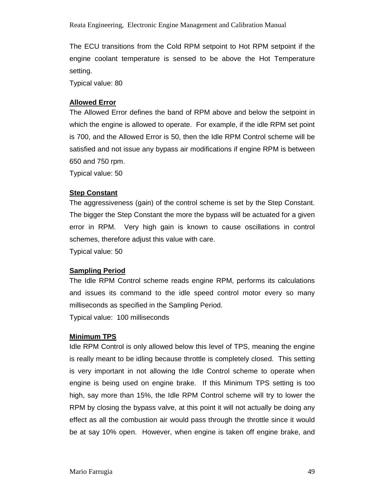The ECU transitions from the Cold RPM setpoint to Hot RPM setpoint if the engine coolant temperature is sensed to be above the Hot Temperature setting.

Typical value: 80

#### **Allowed Error**

The Allowed Error defines the band of RPM above and below the setpoint in which the engine is allowed to operate. For example, if the idle RPM set point is 700, and the Allowed Error is 50, then the Idle RPM Control scheme will be satisfied and not issue any bypass air modifications if engine RPM is between 650 and 750 rpm.

Typical value: 50

#### **Step Constant**

The aggressiveness (gain) of the control scheme is set by the Step Constant. The bigger the Step Constant the more the bypass will be actuated for a given error in RPM. Very high gain is known to cause oscillations in control schemes, therefore adjust this value with care.

Typical value: 50

#### **Sampling Period**

The Idle RPM Control scheme reads engine RPM, performs its calculations and issues its command to the idle speed control motor every so many milliseconds as specified in the Sampling Period.

Typical value: 100 milliseconds

#### **Minimum TPS**

Idle RPM Control is only allowed below this level of TPS, meaning the engine is really meant to be idling because throttle is completely closed. This setting is very important in not allowing the Idle Control scheme to operate when engine is being used on engine brake. If this Minimum TPS setting is too high, say more than 15%, the Idle RPM Control scheme will try to lower the RPM by closing the bypass valve, at this point it will not actually be doing any effect as all the combustion air would pass through the throttle since it would be at say 10% open. However, when engine is taken off engine brake, and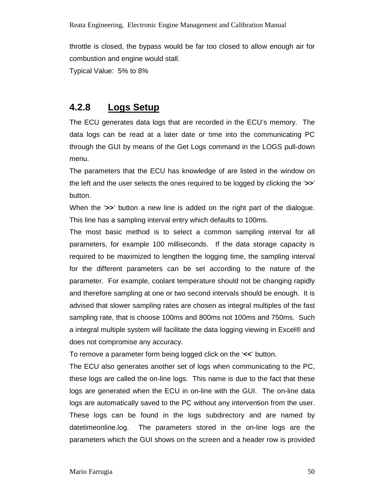throttle is closed, the bypass would be far too closed to allow enough air for combustion and engine would stall.

Typical Value: 5% to 8%

### **4.2.8 Logs Setup**

The ECU generates data logs that are recorded in the ECU's memory. The data logs can be read at a later date or time into the communicating PC through the GUI by means of the Get Logs command in the LOGS pull-down menu.

The parameters that the ECU has knowledge of are listed in the window on the left and the user selects the ones required to be logged by clicking the '**>>**' button.

When the '**>>**' button a new line is added on the right part of the dialogue. This line has a sampling interval entry which defaults to 100ms.

The most basic method is to select a common sampling interval for all parameters, for example 100 milliseconds. If the data storage capacity is required to be maximized to lengthen the logging time, the sampling interval for the different parameters can be set according to the nature of the parameter. For example, coolant temperature should not be changing rapidly and therefore sampling at one or two second intervals should be enough. It is advised that slower sampling rates are chosen as integral multiples of the fast sampling rate, that is choose 100ms and 800ms not 100ms and 750ms. Such a integral multiple system will facilitate the data logging viewing in Excel® and does not compromise any accuracy.

To remove a parameter form being logged click on the '**<<**' button.

The ECU also generates another set of logs when communicating to the PC, these logs are called the on-line logs. This name is due to the fact that these logs are generated when the ECU in on-line with the GUI. The on-line data logs are automatically saved to the PC without any intervention from the user. These logs can be found in the logs subdirectory and are named by datetimeonline.log. The parameters stored in the on-line logs are the parameters which the GUI shows on the screen and a header row is provided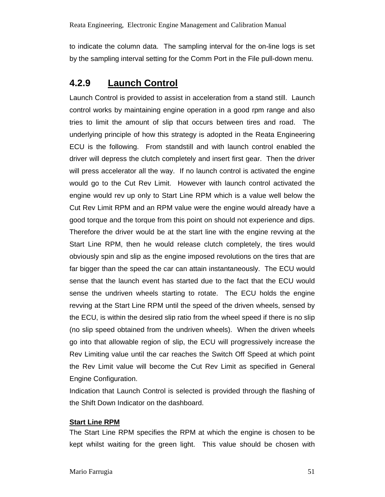to indicate the column data. The sampling interval for the on-line logs is set by the sampling interval setting for the Comm Port in the File pull-down menu.

## **4.2.9 Launch Control**

Launch Control is provided to assist in acceleration from a stand still. Launch control works by maintaining engine operation in a good rpm range and also tries to limit the amount of slip that occurs between tires and road. The underlying principle of how this strategy is adopted in the Reata Engineering ECU is the following. From standstill and with launch control enabled the driver will depress the clutch completely and insert first gear. Then the driver will press accelerator all the way. If no launch control is activated the engine would go to the Cut Rev Limit. However with launch control activated the engine would rev up only to Start Line RPM which is a value well below the Cut Rev Limit RPM and an RPM value were the engine would already have a good torque and the torque from this point on should not experience and dips. Therefore the driver would be at the start line with the engine revving at the Start Line RPM, then he would release clutch completely, the tires would obviously spin and slip as the engine imposed revolutions on the tires that are far bigger than the speed the car can attain instantaneously. The ECU would sense that the launch event has started due to the fact that the ECU would sense the undriven wheels starting to rotate. The ECU holds the engine revving at the Start Line RPM until the speed of the driven wheels, sensed by the ECU, is within the desired slip ratio from the wheel speed if there is no slip (no slip speed obtained from the undriven wheels). When the driven wheels go into that allowable region of slip, the ECU will progressively increase the Rev Limiting value until the car reaches the Switch Off Speed at which point the Rev Limit value will become the Cut Rev Limit as specified in General Engine Configuration.

Indication that Launch Control is selected is provided through the flashing of the Shift Down Indicator on the dashboard.

#### **Start Line RPM**

The Start Line RPM specifies the RPM at which the engine is chosen to be kept whilst waiting for the green light. This value should be chosen with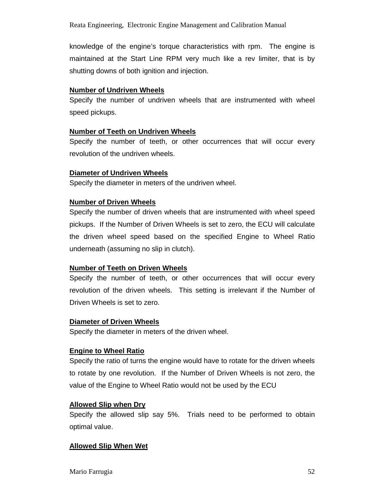knowledge of the engine's torque characteristics with rpm. The engine is maintained at the Start Line RPM very much like a rev limiter, that is by shutting downs of both ignition and injection.

#### **Number of Undriven Wheels**

Specify the number of undriven wheels that are instrumented with wheel speed pickups.

#### **Number of Teeth on Undriven Wheels**

Specify the number of teeth, or other occurrences that will occur every revolution of the undriven wheels.

#### **Diameter of Undriven Wheels**

Specify the diameter in meters of the undriven wheel.

#### **Number of Driven Wheels**

Specify the number of driven wheels that are instrumented with wheel speed pickups. If the Number of Driven Wheels is set to zero, the ECU will calculate the driven wheel speed based on the specified Engine to Wheel Ratio underneath (assuming no slip in clutch).

#### **Number of Teeth on Driven Wheels**

Specify the number of teeth, or other occurrences that will occur every revolution of the driven wheels. This setting is irrelevant if the Number of Driven Wheels is set to zero.

#### **Diameter of Driven Wheels**

Specify the diameter in meters of the driven wheel.

#### **Engine to Wheel Ratio**

Specify the ratio of turns the engine would have to rotate for the driven wheels to rotate by one revolution. If the Number of Driven Wheels is not zero, the value of the Engine to Wheel Ratio would not be used by the ECU

#### **Allowed Slip when Dry**

Specify the allowed slip say 5%. Trials need to be performed to obtain optimal value.

#### **Allowed Slip When Wet**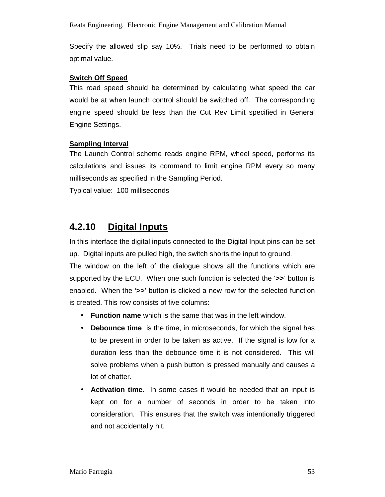Reata Engineering, Electronic Engine Management and Calibration Manual

Specify the allowed slip say 10%. Trials need to be performed to obtain optimal value.

#### **Switch Off Speed**

This road speed should be determined by calculating what speed the car would be at when launch control should be switched off. The corresponding engine speed should be less than the Cut Rev Limit specified in General Engine Settings.

#### **Sampling Interval**

The Launch Control scheme reads engine RPM, wheel speed, performs its calculations and issues its command to limit engine RPM every so many milliseconds as specified in the Sampling Period.

Typical value: 100 milliseconds

## **4.2.10 Digital Inputs**

In this interface the digital inputs connected to the Digital Input pins can be set up. Digital inputs are pulled high, the switch shorts the input to ground.

The window on the left of the dialogue shows all the functions which are supported by the ECU. When one such function is selected the '**>>**' button is enabled. When the '**>>**' button is clicked a new row for the selected function is created. This row consists of five columns:

- **Function name** which is the same that was in the left window.
- **Debounce time** is the time, in microseconds, for which the signal has to be present in order to be taken as active. If the signal is low for a duration less than the debounce time it is not considered. This will solve problems when a push button is pressed manually and causes a lot of chatter.
- **Activation time.** In some cases it would be needed that an input is kept on for a number of seconds in order to be taken into consideration. This ensures that the switch was intentionally triggered and not accidentally hit.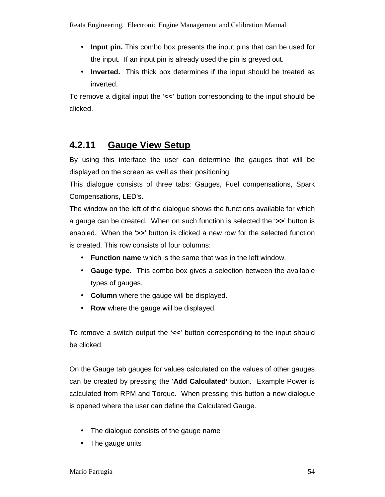- **Input pin.** This combo box presents the input pins that can be used for the input. If an input pin is already used the pin is greyed out.
- **Inverted.** This thick box determines if the input should be treated as inverted.

To remove a digital input the '**<<**' button corresponding to the input should be clicked.

## **4.2.11 Gauge View Setup**

By using this interface the user can determine the gauges that will be displayed on the screen as well as their positioning.

This dialogue consists of three tabs: Gauges, Fuel compensations, Spark Compensations, LED's.

The window on the left of the dialogue shows the functions available for which a gauge can be created. When on such function is selected the '**>>**' button is enabled. When the '**>>**' button is clicked a new row for the selected function is created. This row consists of four columns:

- **Function name** which is the same that was in the left window.
- **Gauge type.** This combo box gives a selection between the available types of gauges.
- **Column** where the gauge will be displayed.
- **Row** where the gauge will be displayed.

To remove a switch output the '**<<**' button corresponding to the input should be clicked.

On the Gauge tab gauges for values calculated on the values of other gauges can be created by pressing the '**Add Calculated'** button. Example Power is calculated from RPM and Torque. When pressing this button a new dialogue is opened where the user can define the Calculated Gauge.

- The dialogue consists of the gauge name
- The gauge units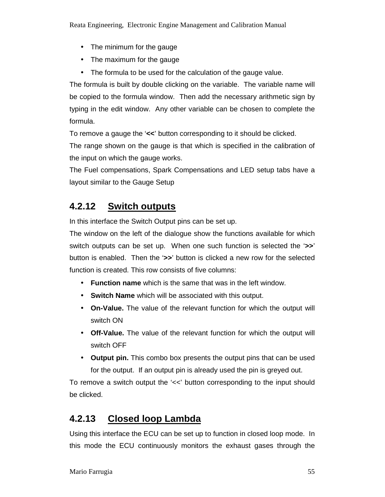- The minimum for the gauge
- The maximum for the gauge
- The formula to be used for the calculation of the gauge value.

The formula is built by double clicking on the variable. The variable name will be copied to the formula window. Then add the necessary arithmetic sign by typing in the edit window. Any other variable can be chosen to complete the formula.

To remove a gauge the '**<<**' button corresponding to it should be clicked.

The range shown on the gauge is that which is specified in the calibration of the input on which the gauge works.

The Fuel compensations, Spark Compensations and LED setup tabs have a layout similar to the Gauge Setup

## **4.2.12 Switch outputs**

In this interface the Switch Output pins can be set up.

The window on the left of the dialogue show the functions available for which switch outputs can be set up. When one such function is selected the '**>>**' button is enabled. Then the '**>>**' button is clicked a new row for the selected function is created. This row consists of five columns:

- **Function name** which is the same that was in the left window.
- **Switch Name** which will be associated with this output.
- **On-Value.** The value of the relevant function for which the output will switch ON
- **Off-Value.** The value of the relevant function for which the output will switch OFF
- **Output pin.** This combo box presents the output pins that can be used for the output. If an output pin is already used the pin is greyed out.

To remove a switch output the '<<' button corresponding to the input should be clicked.

## **4.2.13 Closed loop Lambda**

Using this interface the ECU can be set up to function in closed loop mode. In this mode the ECU continuously monitors the exhaust gases through the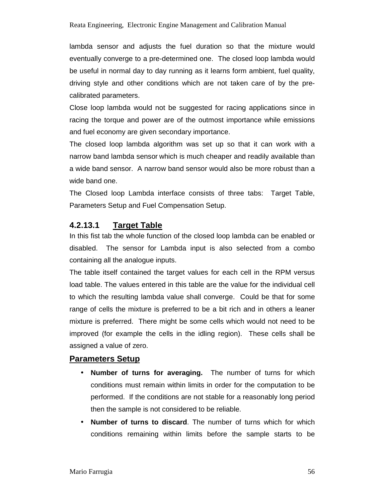lambda sensor and adjusts the fuel duration so that the mixture would eventually converge to a pre-determined one. The closed loop lambda would be useful in normal day to day running as it learns form ambient, fuel quality, driving style and other conditions which are not taken care of by the precalibrated parameters.

Close loop lambda would not be suggested for racing applications since in racing the torque and power are of the outmost importance while emissions and fuel economy are given secondary importance.

The closed loop lambda algorithm was set up so that it can work with a narrow band lambda sensor which is much cheaper and readily available than a wide band sensor. A narrow band sensor would also be more robust than a wide band one.

The Closed loop Lambda interface consists of three tabs: Target Table, Parameters Setup and Fuel Compensation Setup.

### **4.2.13.1 Target Table**

In this fist tab the whole function of the closed loop lambda can be enabled or disabled. The sensor for Lambda input is also selected from a combo containing all the analogue inputs.

The table itself contained the target values for each cell in the RPM versus load table. The values entered in this table are the value for the individual cell to which the resulting lambda value shall converge. Could be that for some range of cells the mixture is preferred to be a bit rich and in others a leaner mixture is preferred. There might be some cells which would not need to be improved (for example the cells in the idling region). These cells shall be assigned a value of zero.

#### **Parameters Setup**

- **Number of turns for averaging.** The number of turns for which conditions must remain within limits in order for the computation to be performed. If the conditions are not stable for a reasonably long period then the sample is not considered to be reliable.
- **Number of turns to discard**. The number of turns which for which conditions remaining within limits before the sample starts to be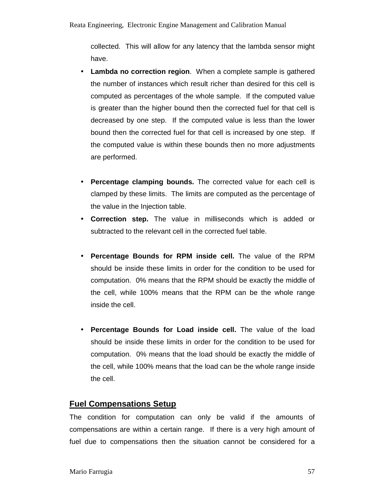collected. This will allow for any latency that the lambda sensor might have.

- **Lambda no correction region.** When a complete sample is gathered the number of instances which result richer than desired for this cell is computed as percentages of the whole sample. If the computed value is greater than the higher bound then the corrected fuel for that cell is decreased by one step. If the computed value is less than the lower bound then the corrected fuel for that cell is increased by one step. If the computed value is within these bounds then no more adjustments are performed.
- **Percentage clamping bounds.** The corrected value for each cell is clamped by these limits. The limits are computed as the percentage of the value in the Injection table.
- **Correction step.** The value in milliseconds which is added or subtracted to the relevant cell in the corrected fuel table.
- **Percentage Bounds for RPM inside cell.** The value of the RPM should be inside these limits in order for the condition to be used for computation. 0% means that the RPM should be exactly the middle of the cell, while 100% means that the RPM can be the whole range inside the cell.
- **Percentage Bounds for Load inside cell.** The value of the load should be inside these limits in order for the condition to be used for computation. 0% means that the load should be exactly the middle of the cell, while 100% means that the load can be the whole range inside the cell.

### **Fuel Compensations Setup**

The condition for computation can only be valid if the amounts of compensations are within a certain range. If there is a very high amount of fuel due to compensations then the situation cannot be considered for a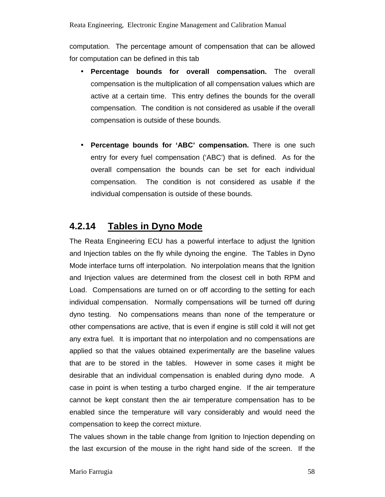computation. The percentage amount of compensation that can be allowed for computation can be defined in this tab

- **Percentage bounds for overall compensation.** The overall compensation is the multiplication of all compensation values which are active at a certain time. This entry defines the bounds for the overall compensation. The condition is not considered as usable if the overall compensation is outside of these bounds.
- **Percentage bounds for 'ABC' compensation.** There is one such entry for every fuel compensation ('ABC') that is defined. As for the overall compensation the bounds can be set for each individual compensation. The condition is not considered as usable if the individual compensation is outside of these bounds.

### **4.2.14 Tables in Dyno Mode**

The Reata Engineering ECU has a powerful interface to adjust the Ignition and Injection tables on the fly while dynoing the engine. The Tables in Dyno Mode interface turns off interpolation. No interpolation means that the Ignition and Injection values are determined from the closest cell in both RPM and Load. Compensations are turned on or off according to the setting for each individual compensation. Normally compensations will be turned off during dyno testing. No compensations means than none of the temperature or other compensations are active, that is even if engine is still cold it will not get any extra fuel. It is important that no interpolation and no compensations are applied so that the values obtained experimentally are the baseline values that are to be stored in the tables. However in some cases it might be desirable that an individual compensation is enabled during dyno mode. A case in point is when testing a turbo charged engine. If the air temperature cannot be kept constant then the air temperature compensation has to be enabled since the temperature will vary considerably and would need the compensation to keep the correct mixture.

The values shown in the table change from Ignition to Injection depending on the last excursion of the mouse in the right hand side of the screen. If the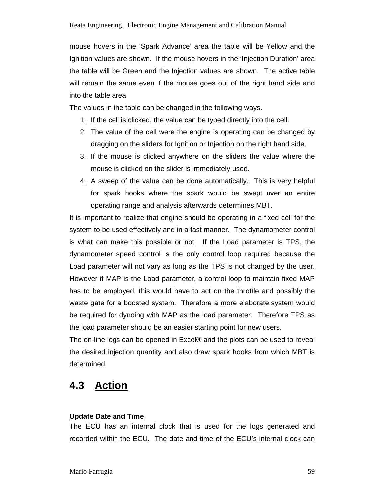mouse hovers in the 'Spark Advance' area the table will be Yellow and the Ignition values are shown. If the mouse hovers in the 'Injection Duration' area the table will be Green and the Injection values are shown. The active table will remain the same even if the mouse goes out of the right hand side and into the table area.

The values in the table can be changed in the following ways.

- 1. If the cell is clicked, the value can be typed directly into the cell.
- 2. The value of the cell were the engine is operating can be changed by dragging on the sliders for Ignition or Injection on the right hand side.
- 3. If the mouse is clicked anywhere on the sliders the value where the mouse is clicked on the slider is immediately used.
- 4. A sweep of the value can be done automatically. This is very helpful for spark hooks where the spark would be swept over an entire operating range and analysis afterwards determines MBT.

It is important to realize that engine should be operating in a fixed cell for the system to be used effectively and in a fast manner. The dynamometer control is what can make this possible or not. If the Load parameter is TPS, the dynamometer speed control is the only control loop required because the Load parameter will not vary as long as the TPS is not changed by the user. However if MAP is the Load parameter, a control loop to maintain fixed MAP has to be employed, this would have to act on the throttle and possibly the waste gate for a boosted system. Therefore a more elaborate system would be required for dynoing with MAP as the load parameter. Therefore TPS as the load parameter should be an easier starting point for new users.

The on-line logs can be opened in Excel® and the plots can be used to reveal the desired injection quantity and also draw spark hooks from which MBT is determined.

## **4.3 Action**

#### **Update Date and Time**

The ECU has an internal clock that is used for the logs generated and recorded within the ECU. The date and time of the ECU's internal clock can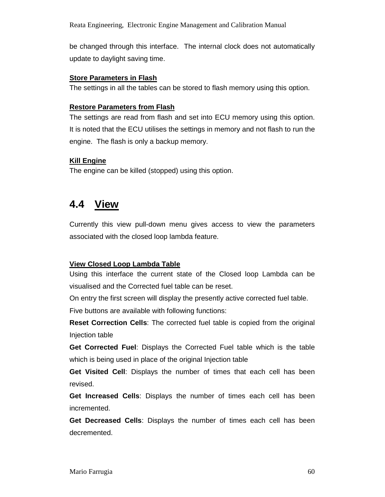Reata Engineering, Electronic Engine Management and Calibration Manual

be changed through this interface. The internal clock does not automatically update to daylight saving time.

#### **Store Parameters in Flash**

The settings in all the tables can be stored to flash memory using this option.

#### **Restore Parameters from Flash**

The settings are read from flash and set into ECU memory using this option. It is noted that the ECU utilises the settings in memory and not flash to run the engine. The flash is only a backup memory.

#### **Kill Engine**

The engine can be killed (stopped) using this option.

## **4.4 View**

Currently this view pull-down menu gives access to view the parameters associated with the closed loop lambda feature.

#### **View Closed Loop Lambda Table**

Using this interface the current state of the Closed loop Lambda can be visualised and the Corrected fuel table can be reset.

On entry the first screen will display the presently active corrected fuel table. Five buttons are available with following functions:

**Reset Correction Cells**: The corrected fuel table is copied from the original Injection table

**Get Corrected Fuel**: Displays the Corrected Fuel table which is the table which is being used in place of the original Injection table

**Get Visited Cell**: Displays the number of times that each cell has been revised.

**Get Increased Cells**: Displays the number of times each cell has been incremented.

**Get Decreased Cells**: Displays the number of times each cell has been decremented.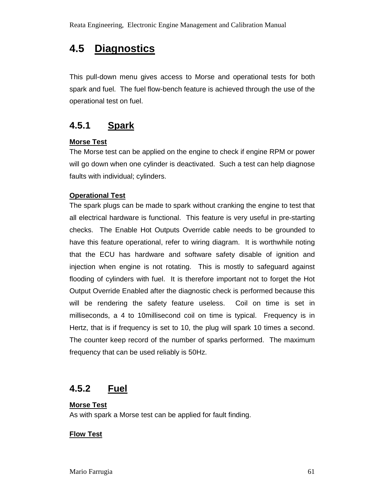# **4.5 Diagnostics**

This pull-down menu gives access to Morse and operational tests for both spark and fuel. The fuel flow-bench feature is achieved through the use of the operational test on fuel.

## **4.5.1 Spark**

#### **Morse Test**

The Morse test can be applied on the engine to check if engine RPM or power will go down when one cylinder is deactivated. Such a test can help diagnose faults with individual; cylinders.

#### **Operational Test**

The spark plugs can be made to spark without cranking the engine to test that all electrical hardware is functional. This feature is very useful in pre-starting checks. The Enable Hot Outputs Override cable needs to be grounded to have this feature operational, refer to wiring diagram. It is worthwhile noting that the ECU has hardware and software safety disable of ignition and injection when engine is not rotating. This is mostly to safeguard against flooding of cylinders with fuel. It is therefore important not to forget the Hot Output Override Enabled after the diagnostic check is performed because this will be rendering the safety feature useless. Coil on time is set in milliseconds, a 4 to 10millisecond coil on time is typical. Frequency is in Hertz, that is if frequency is set to 10, the plug will spark 10 times a second. The counter keep record of the number of sparks performed. The maximum frequency that can be used reliably is 50Hz.

### **4.5.2 Fuel**

## **Morse Test**

As with spark a Morse test can be applied for fault finding.

#### **Flow Test**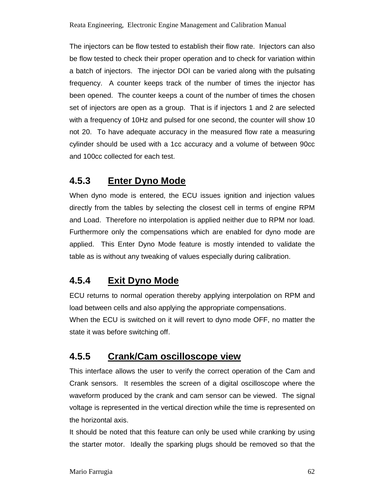The injectors can be flow tested to establish their flow rate. Injectors can also be flow tested to check their proper operation and to check for variation within a batch of injectors. The injector DOI can be varied along with the pulsating frequency. A counter keeps track of the number of times the injector has been opened. The counter keeps a count of the number of times the chosen set of injectors are open as a group. That is if injectors 1 and 2 are selected with a frequency of 10Hz and pulsed for one second, the counter will show 10 not 20. To have adequate accuracy in the measured flow rate a measuring cylinder should be used with a 1cc accuracy and a volume of between 90cc and 100cc collected for each test.

## **4.5.3 Enter Dyno Mode**

When dyno mode is entered, the ECU issues ignition and injection values directly from the tables by selecting the closest cell in terms of engine RPM and Load. Therefore no interpolation is applied neither due to RPM nor load. Furthermore only the compensations which are enabled for dyno mode are applied. This Enter Dyno Mode feature is mostly intended to validate the table as is without any tweaking of values especially during calibration.

## **4.5.4 Exit Dyno Mode**

ECU returns to normal operation thereby applying interpolation on RPM and load between cells and also applying the appropriate compensations.

When the ECU is switched on it will revert to dyno mode OFF, no matter the state it was before switching off.

## **4.5.5 Crank/Cam oscilloscope view**

This interface allows the user to verify the correct operation of the Cam and Crank sensors. It resembles the screen of a digital oscilloscope where the waveform produced by the crank and cam sensor can be viewed. The signal voltage is represented in the vertical direction while the time is represented on the horizontal axis.

It should be noted that this feature can only be used while cranking by using the starter motor. Ideally the sparking plugs should be removed so that the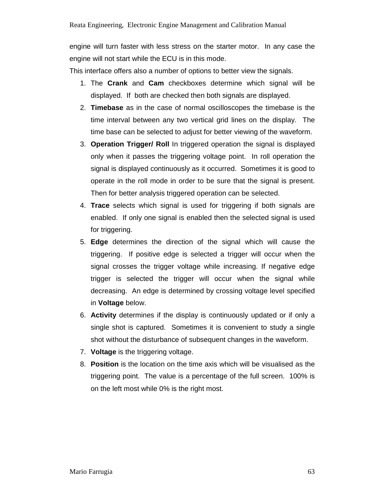engine will turn faster with less stress on the starter motor. In any case the engine will not start while the ECU is in this mode.

This interface offers also a number of options to better view the signals.

- 1. The **Crank** and **Cam** checkboxes determine which signal will be displayed. If both are checked then both signals are displayed.
- 2. **Timebase** as in the case of normal oscilloscopes the timebase is the time interval between any two vertical grid lines on the display. The time base can be selected to adjust for better viewing of the waveform.
- 3. **Operation Trigger/ Roll** In triggered operation the signal is displayed only when it passes the triggering voltage point. In roll operation the signal is displayed continuously as it occurred. Sometimes it is good to operate in the roll mode in order to be sure that the signal is present. Then for better analysis triggered operation can be selected.
- 4. **Trace** selects which signal is used for triggering if both signals are enabled. If only one signal is enabled then the selected signal is used for triggering.
- 5. **Edge** determines the direction of the signal which will cause the triggering. If positive edge is selected a trigger will occur when the signal crosses the trigger voltage while increasing. If negative edge trigger is selected the trigger will occur when the signal while decreasing. An edge is determined by crossing voltage level specified in **Voltage** below.
- 6. **Activity** determines if the display is continuously updated or if only a single shot is captured. Sometimes it is convenient to study a single shot without the disturbance of subsequent changes in the waveform.
- 7. **Voltage** is the triggering voltage.
- 8. **Position** is the location on the time axis which will be visualised as the triggering point. The value is a percentage of the full screen. 100% is on the left most while 0% is the right most.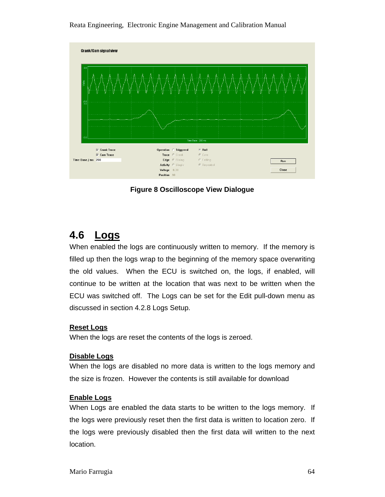Reata Engineering, Electronic Engine Management and Calibration Manual



**Figure 8 Oscilloscope View Dialogue** 

# **4.6 Logs**

When enabled the logs are continuously written to memory. If the memory is filled up then the logs wrap to the beginning of the memory space overwriting the old values. When the ECU is switched on, the logs, if enabled, will continue to be written at the location that was next to be written when the ECU was switched off. The Logs can be set for the Edit pull-down menu as discussed in section 4.2.8 Logs Setup.

#### **Reset Logs**

When the logs are reset the contents of the logs is zeroed.

#### **Disable Logs**

When the logs are disabled no more data is written to the logs memory and the size is frozen. However the contents is still available for download

#### **Enable Logs**

When Logs are enabled the data starts to be written to the logs memory. If the logs were previously reset then the first data is written to location zero. If the logs were previously disabled then the first data will written to the next location.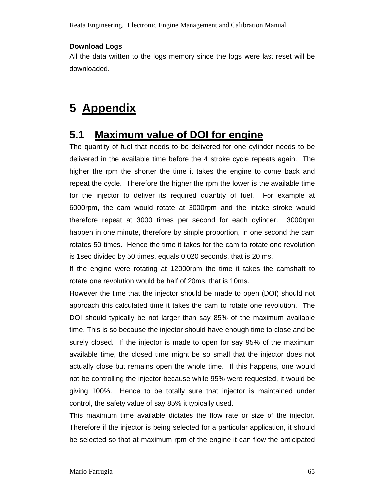Reata Engineering, Electronic Engine Management and Calibration Manual

#### **Download Logs**

All the data written to the logs memory since the logs were last reset will be downloaded.

# **5 Appendix**

## **5.1 Maximum value of DOI for engine**

The quantity of fuel that needs to be delivered for one cylinder needs to be delivered in the available time before the 4 stroke cycle repeats again. The higher the rpm the shorter the time it takes the engine to come back and repeat the cycle. Therefore the higher the rpm the lower is the available time for the injector to deliver its required quantity of fuel. For example at 6000rpm, the cam would rotate at 3000rpm and the intake stroke would therefore repeat at 3000 times per second for each cylinder. 3000rpm happen in one minute, therefore by simple proportion, in one second the cam rotates 50 times. Hence the time it takes for the cam to rotate one revolution is 1sec divided by 50 times, equals 0.020 seconds, that is 20 ms.

If the engine were rotating at 12000rpm the time it takes the camshaft to rotate one revolution would be half of 20ms, that is 10ms.

However the time that the injector should be made to open (DOI) should not approach this calculated time it takes the cam to rotate one revolution. The DOI should typically be not larger than say 85% of the maximum available time. This is so because the injector should have enough time to close and be surely closed. If the injector is made to open for say 95% of the maximum available time, the closed time might be so small that the injector does not actually close but remains open the whole time. If this happens, one would not be controlling the injector because while 95% were requested, it would be giving 100%. Hence to be totally sure that injector is maintained under control, the safety value of say 85% it typically used.

This maximum time available dictates the flow rate or size of the injector. Therefore if the injector is being selected for a particular application, it should be selected so that at maximum rpm of the engine it can flow the anticipated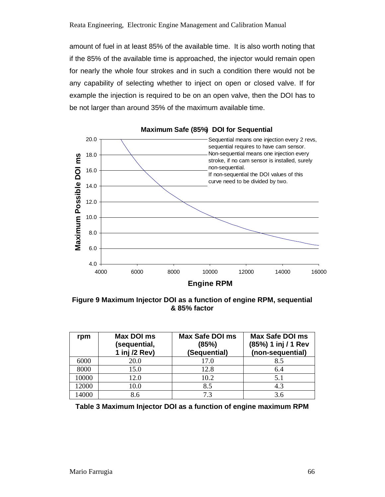amount of fuel in at least 85% of the available time. It is also worth noting that if the 85% of the available time is approached, the injector would remain open for nearly the whole four strokes and in such a condition there would not be any capability of selecting whether to inject on open or closed valve. If for example the injection is required to be on an open valve, then the DOI has to be not larger than around 35% of the maximum available time.



**Maximum Safe (85%) DOI for Sequential**

**Figure 9 Maximum Injector DOI as a function of engine RPM, sequential & 85% factor** 

| rpm   | Max DOI ms<br>(sequential,<br>1 inj /2 Rev) | <b>Max Safe DOI ms</b><br>(85%)<br>(Sequential) | Max Safe DOI ms<br>(85%) 1 inj / 1 Rev<br>(non-sequential) |
|-------|---------------------------------------------|-------------------------------------------------|------------------------------------------------------------|
| 6000  | 20.0                                        | 17.0                                            | 8.5                                                        |
| 8000  | 15.0                                        | 12.8                                            | 6.4                                                        |
| 10000 | 12.0                                        | 10.2                                            | 5.1                                                        |
| 12000 | 10.0                                        | 8.5                                             | 4.3                                                        |
| 14000 | 8.6                                         | 7.3                                             | 3.6                                                        |

**Table 3 Maximum Injector DOI as a function of engine maximum RPM**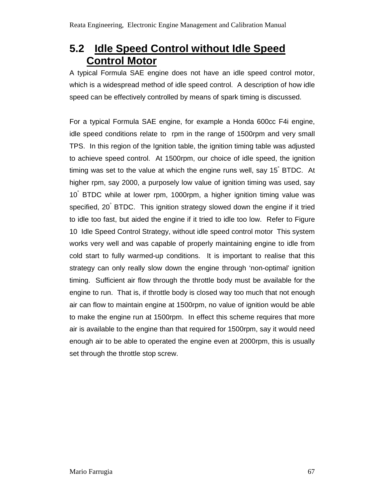# **5.2 Idle Speed Control without Idle Speed Control Motor**

A typical Formula SAE engine does not have an idle speed control motor, which is a widespread method of idle speed control. A description of how idle speed can be effectively controlled by means of spark timing is discussed.

For a typical Formula SAE engine, for example a Honda 600cc F4i engine, idle speed conditions relate to rpm in the range of 1500rpm and very small TPS. In this region of the Ignition table, the ignition timing table was adjusted to achieve speed control. At 1500rpm, our choice of idle speed, the ignition timing was set to the value at which the engine runs well, say 15° BTDC. At higher rpm, say 2000, a purposely low value of ignition timing was used, say 10° BTDC while at lower rpm, 1000rpm, a higher ignition timing value was specified, 20° BTDC. This ignition strategy slowed down the engine if it tried to idle too fast, but aided the engine if it tried to idle too low. Refer to Figure 10 Idle Speed Control Strategy, without idle speed control motor This system works very well and was capable of properly maintaining engine to idle from cold start to fully warmed-up conditions. It is important to realise that this strategy can only really slow down the engine through 'non-optimal' ignition timing. Sufficient air flow through the throttle body must be available for the engine to run. That is, if throttle body is closed way too much that not enough air can flow to maintain engine at 1500rpm, no value of ignition would be able to make the engine run at 1500rpm. In effect this scheme requires that more air is available to the engine than that required for 1500rpm, say it would need enough air to be able to operated the engine even at 2000rpm, this is usually set through the throttle stop screw.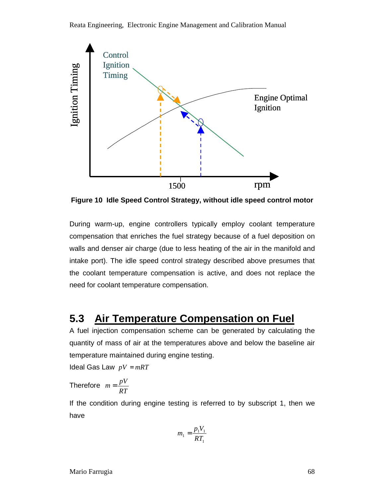

**Figure 10 Idle Speed Control Strategy, without idle speed control motor** 

During warm-up, engine controllers typically employ coolant temperature compensation that enriches the fuel strategy because of a fuel deposition on walls and denser air charge (due to less heating of the air in the manifold and intake port). The idle speed control strategy described above presumes that the coolant temperature compensation is active, and does not replace the need for coolant temperature compensation.

## **5.3 Air Temperature Compensation on Fuel**

A fuel injection compensation scheme can be generated by calculating the quantity of mass of air at the temperatures above and below the baseline air temperature maintained during engine testing.

Ideal Gas Law  $pV = mRT$ 

Therefore *RT*  $m = \frac{pV}{\overline{p}}$ 

If the condition during engine testing is referred to by subscript 1, then we have

$$
m_1 = \frac{p_1 V_1}{RT_1}
$$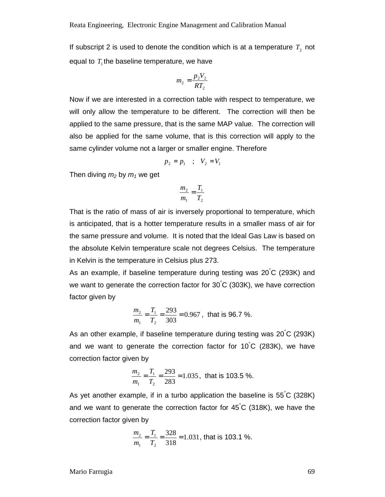If subscript 2 is used to denote the condition which is at a temperature  $T_2$  not equal to  $T_1$  the baseline temperature, we have

$$
m_2 = \frac{p_2 V_2}{RT_2}
$$

Now if we are interested in a correction table with respect to temperature, we will only allow the temperature to be different. The correction will then be applied to the same pressure, that is the same MAP value. The correction will also be applied for the same volume, that is this correction will apply to the same cylinder volume not a larger or smaller engine. Therefore

$$
p_2 = p_1 \quad ; \quad V_2 = V_1
$$

Then diving  $m_2$  by  $m_1$  we get

$$
\frac{m_2}{m_1} = \frac{T_1}{T_2}
$$

That is the ratio of mass of air is inversely proportional to temperature, which is anticipated, that is a hotter temperature results in a smaller mass of air for the same pressure and volume. It is noted that the Ideal Gas Law is based on the absolute Kelvin temperature scale not degrees Celsius. The temperature in Kelvin is the temperature in Celsius plus 273.

As an example, if baseline temperature during testing was 20°C (293K) and we want to generate the correction factor for 30°C (303K), we have correction factor given by

$$
\frac{m_2}{m_1} = \frac{T_1}{T_2} = \frac{293}{303} = 0.967
$$
, that is 96.7%.

As an other example, if baseline temperature during testing was 20°C (293K) and we want to generate the correction factor for 10 °C (283K), we have correction factor given by

$$
\frac{m_2}{m_1} = \frac{T_1}{T_2} = \frac{293}{283} = 1.035
$$
, that is 103.5%.

As yet another example, if in a turbo application the baseline is 55°C (328K) and we want to generate the correction factor for 45 °C (318K), we have the correction factor given by

$$
\frac{m_2}{m_1} = \frac{T_1}{T_2} = \frac{328}{318} = 1.031
$$
, that is 103.1%.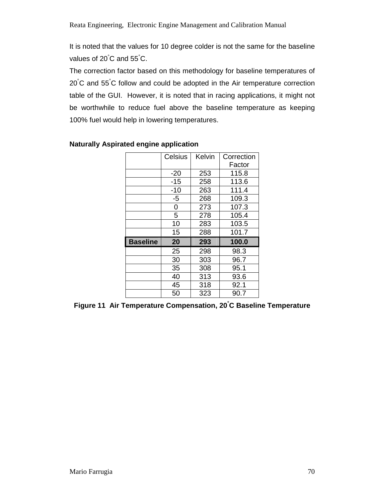It is noted that the values for 10 degree colder is not the same for the baseline values of 20°C and 55°C.

The correction factor based on this methodology for baseline temperatures of 20°C and 55°C follow and could be adopted in the Air temperature correction table of the GUI. However, it is noted that in racing applications, it might not be worthwhile to reduce fuel above the baseline temperature as keeping 100% fuel would help in lowering temperatures.

|                 | Celsius | Kelvin | Correction |
|-----------------|---------|--------|------------|
|                 |         |        | Factor     |
|                 | $-20$   | 253    | 115.8      |
|                 | -15     | 258    | 113.6      |
|                 | -10     | 263    | 111.4      |
|                 | $-5$    | 268    | 109.3      |
|                 | 0       | 273    | 107.3      |
|                 | 5       | 278    | 105.4      |
|                 | 10      | 283    | 103.5      |
|                 | 15      | 288    | 101.7      |
| <b>Baseline</b> | 20      | 293    | 100.0      |
|                 | 25      | 298    | 98.3       |
|                 | 30      | 303    | 96.7       |
|                 | 35      | 308    | 95.1       |
|                 | 40      | 313    | 93.6       |
|                 | 45      | 318    | 92.1       |
|                 | 50      | 323    | 90.7       |

#### **Naturally Aspirated engine application**

**Figure 11 Air Temperature Compensation, 20°C Baseline Temperature**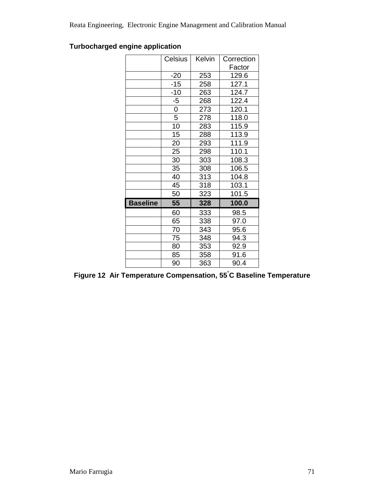### **Turbocharged engine application**

|                 | Celsius | Kelvin | Correction |
|-----------------|---------|--------|------------|
|                 |         |        | Factor     |
|                 | $-20$   | 253    | 129.6      |
|                 | $-15$   | 258    | 127.1      |
|                 | $-10$   | 263    | 124.7      |
|                 | $-5$    | 268    | 122.4      |
|                 | 0       | 273    | 120.1      |
|                 | 5       | 278    | 118.0      |
|                 | 10      | 283    | 115.9      |
|                 | 15      | 288    | 113.9      |
|                 | 20      | 293    | 111.9      |
|                 | 25      | 298    | 110.1      |
|                 | 30      | 303    | 108.3      |
|                 | 35      | 308    | 106.5      |
|                 | 40      | 313    | 104.8      |
|                 | 45      | 318    | 103.1      |
|                 | 50      | 323    | 101.5      |
| <b>Baseline</b> | 55      | 328    | 100.0      |
|                 | 60      | 333    | 98.5       |
|                 | 65      | 338    | 97.0       |
|                 | 70      | 343    | 95.6       |
|                 | 75      | 348    | 94.3       |
|                 | 80      | 353    | 92.9       |
|                 | 85      | 358    | 91.6       |
|                 | 90      | 363    | 90.4       |

**Figure 12 Air Temperature Compensation, 55°C Baseline Temperature**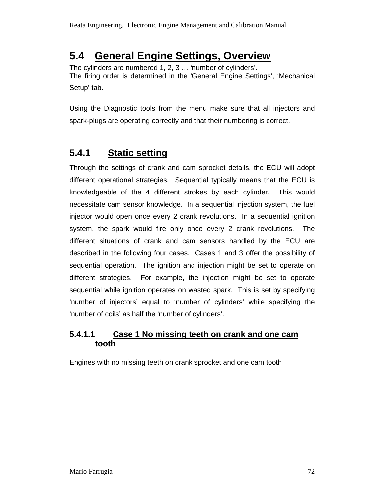# **5.4 General Engine Settings, Overview**

The cylinders are numbered 1, 2, 3 … 'number of cylinders'. The firing order is determined in the 'General Engine Settings', 'Mechanical Setup' tab.

Using the Diagnostic tools from the menu make sure that all injectors and spark-plugs are operating correctly and that their numbering is correct.

## **5.4.1 Static setting**

Through the settings of crank and cam sprocket details, the ECU will adopt different operational strategies. Sequential typically means that the ECU is knowledgeable of the 4 different strokes by each cylinder. This would necessitate cam sensor knowledge. In a sequential injection system, the fuel injector would open once every 2 crank revolutions. In a sequential ignition system, the spark would fire only once every 2 crank revolutions. The different situations of crank and cam sensors handled by the ECU are described in the following four cases. Cases 1 and 3 offer the possibility of sequential operation. The ignition and injection might be set to operate on different strategies. For example, the injection might be set to operate sequential while ignition operates on wasted spark. This is set by specifying 'number of injectors' equal to 'number of cylinders' while specifying the 'number of coils' as half the 'number of cylinders'.

### **5.4.1.1 Case 1 No missing teeth on crank and one cam tooth**

Engines with no missing teeth on crank sprocket and one cam tooth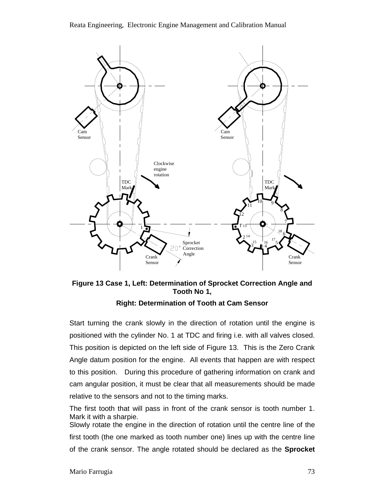

**Figure 13 Case 1, Left: Determination of Sprocket Correction Angle and Tooth No 1,** 

#### **Right: Determination of Tooth at Cam Sensor**

Start turning the crank slowly in the direction of rotation until the engine is positioned with the cylinder No. 1 at TDC and firing i.e. with all valves closed. This position is depicted on the left side of Figure 13. This is the Zero Crank Angle datum position for the engine. All events that happen are with respect to this position. During this procedure of gathering information on crank and cam angular position, it must be clear that all measurements should be made relative to the sensors and not to the timing marks.

The first tooth that will pass in front of the crank sensor is tooth number 1. Mark it with a sharpie.

Slowly rotate the engine in the direction of rotation until the centre line of the first tooth (the one marked as tooth number one) lines up with the centre line of the crank sensor. The angle rotated should be declared as the **Sprocket**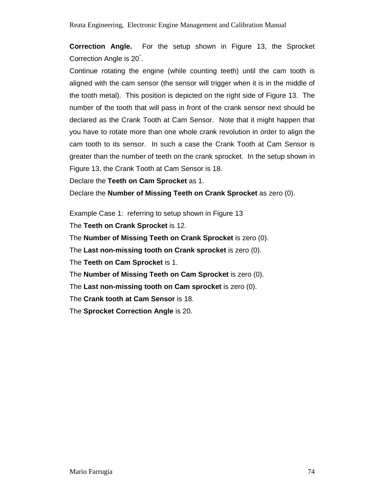**Correction Angle.** For the setup shown in Figure 13, the Sprocket Correction Angle is 20° .

Continue rotating the engine (while counting teeth) until the cam tooth is aligned with the cam sensor (the sensor will trigger when it is in the middle of the tooth metal). This position is depicted on the right side of Figure 13. The number of the tooth that will pass in front of the crank sensor next should be declared as the Crank Tooth at Cam Sensor. Note that it might happen that you have to rotate more than one whole crank revolution in order to align the cam tooth to its sensor. In such a case the Crank Tooth at Cam Sensor is greater than the number of teeth on the crank sprocket. In the setup shown in Figure 13, the Crank Tooth at Cam Sensor is 18.

Declare the **Teeth on Cam Sprocket** as 1.

Declare the **Number of Missing Teeth on Crank Sprocket** as zero (0).

Example Case 1: referring to setup shown in Figure 13

The **Teeth on Crank Sprocket** is 12.

The **Number of Missing Teeth on Crank Sprocket** is zero (0).

The **Last non-missing tooth on Crank sprocket** is zero (0).

The **Teeth on Cam Sprocket** is 1.

The **Number of Missing Teeth on Cam Sprocket** is zero (0).

The **Last non-missing tooth on Cam sprocket** is zero (0).

The **Crank tooth at Cam Sensor** is 18.

The **Sprocket Correction Angle** is 20.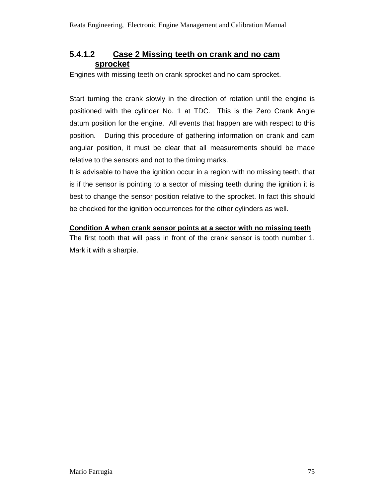# **5.4.1.2 Case 2 Missing teeth on crank and no cam sprocket**

Engines with missing teeth on crank sprocket and no cam sprocket.

Start turning the crank slowly in the direction of rotation until the engine is positioned with the cylinder No. 1 at TDC. This is the Zero Crank Angle datum position for the engine. All events that happen are with respect to this position. During this procedure of gathering information on crank and cam angular position, it must be clear that all measurements should be made relative to the sensors and not to the timing marks.

It is advisable to have the ignition occur in a region with no missing teeth, that is if the sensor is pointing to a sector of missing teeth during the ignition it is best to change the sensor position relative to the sprocket. In fact this should be checked for the ignition occurrences for the other cylinders as well.

#### **Condition A when crank sensor points at a sector with no missing teeth**

The first tooth that will pass in front of the crank sensor is tooth number 1. Mark it with a sharpie.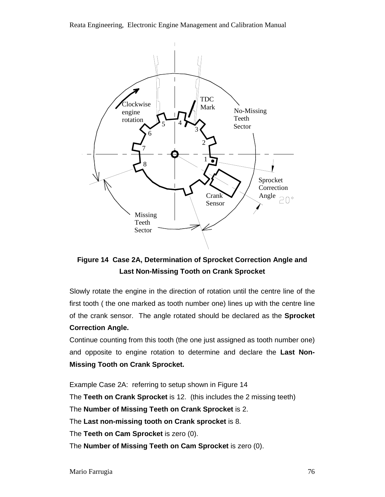Reata Engineering, Electronic Engine Management and Calibration Manual



# **Figure 14 Case 2A, Determination of Sprocket Correction Angle and Last Non-Missing Tooth on Crank Sprocket**

Slowly rotate the engine in the direction of rotation until the centre line of the first tooth ( the one marked as tooth number one) lines up with the centre line of the crank sensor. The angle rotated should be declared as the **Sprocket Correction Angle.** 

Continue counting from this tooth (the one just assigned as tooth number one) and opposite to engine rotation to determine and declare the **Last Non-Missing Tooth on Crank Sprocket.** 

Example Case 2A: referring to setup shown in Figure 14 The **Teeth on Crank Sprocket** is 12. (this includes the 2 missing teeth) The **Number of Missing Teeth on Crank Sprocket** is 2. The **Last non-missing tooth on Crank sprocket** is 8. The **Teeth on Cam Sprocket** is zero (0). The **Number of Missing Teeth on Cam Sprocket** is zero (0).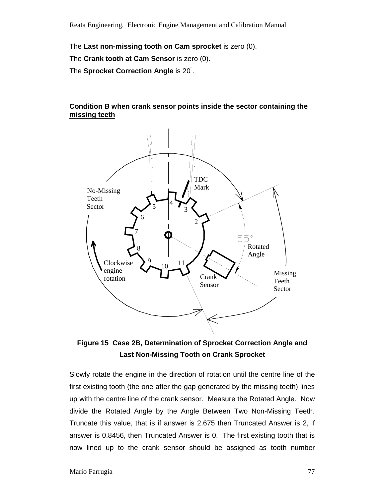The **Last non-missing tooth on Cam sprocket** is zero (0).

The **Crank tooth at Cam Sensor** is zero (0).

The **Sprocket Correction Angle** is 20° .

#### **Condition B when crank sensor points inside the sector containing the missing teeth**



**Figure 15 Case 2B, Determination of Sprocket Correction Angle and Last Non-Missing Tooth on Crank Sprocket** 

Slowly rotate the engine in the direction of rotation until the centre line of the first existing tooth (the one after the gap generated by the missing teeth) lines up with the centre line of the crank sensor. Measure the Rotated Angle. Now divide the Rotated Angle by the Angle Between Two Non-Missing Teeth. Truncate this value, that is if answer is 2.675 then Truncated Answer is 2, if answer is 0.8456, then Truncated Answer is 0. The first existing tooth that is now lined up to the crank sensor should be assigned as tooth number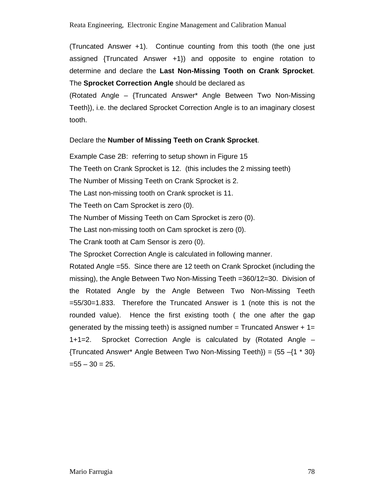(Truncated Answer +1). Continue counting from this tooth (the one just assigned {Truncated Answer +1}) and opposite to engine rotation to determine and declare the **Last Non-Missing Tooth on Crank Sprocket**. The **Sprocket Correction Angle** should be declared as

(Rotated Angle – {Truncated Answer\* Angle Between Two Non-Missing Teeth}), i.e. the declared Sprocket Correction Angle is to an imaginary closest tooth.

#### Declare the **Number of Missing Teeth on Crank Sprocket**.

Example Case 2B: referring to setup shown in Figure 15 The Teeth on Crank Sprocket is 12. (this includes the 2 missing teeth) The Number of Missing Teeth on Crank Sprocket is 2. The Last non-missing tooth on Crank sprocket is 11. The Teeth on Cam Sprocket is zero (0). The Number of Missing Teeth on Cam Sprocket is zero (0). The Last non-missing tooth on Cam sprocket is zero (0). The Crank tooth at Cam Sensor is zero (0). The Sprocket Correction Angle is calculated in following manner. Rotated Angle =55. Since there are 12 teeth on Crank Sprocket (including the missing), the Angle Between Two Non-Missing Teeth =360/12=30. Division of the Rotated Angle by the Angle Between Two Non-Missing Teeth =55/30=1.833. Therefore the Truncated Answer is 1 (note this is not the rounded value). Hence the first existing tooth ( the one after the gap generated by the missing teeth) is assigned number = Truncated Answer  $+1=$ 1+1=2. Sprocket Correction Angle is calculated by (Rotated Angle –  ${Truncated Answer* Angle Between Two Non-Missing Tech}\ = (55 - {1 * 30}$  $=55 - 30 = 25.$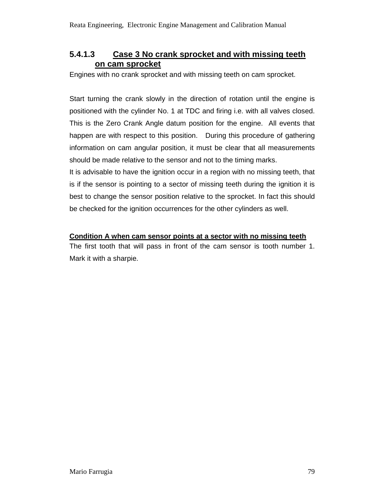# **5.4.1.3 Case 3 No crank sprocket and with missing teeth on cam sprocket**

Engines with no crank sprocket and with missing teeth on cam sprocket.

Start turning the crank slowly in the direction of rotation until the engine is positioned with the cylinder No. 1 at TDC and firing i.e. with all valves closed. This is the Zero Crank Angle datum position for the engine. All events that happen are with respect to this position. During this procedure of gathering information on cam angular position, it must be clear that all measurements should be made relative to the sensor and not to the timing marks.

It is advisable to have the ignition occur in a region with no missing teeth, that is if the sensor is pointing to a sector of missing teeth during the ignition it is best to change the sensor position relative to the sprocket. In fact this should be checked for the ignition occurrences for the other cylinders as well.

#### **Condition A when cam sensor points at a sector with no missing teeth**

The first tooth that will pass in front of the cam sensor is tooth number 1. Mark it with a sharpie.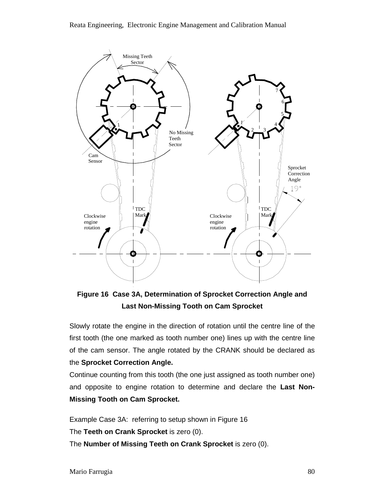

**Figure 16 Case 3A, Determination of Sprocket Correction Angle and Last Non-Missing Tooth on Cam Sprocket** 

Slowly rotate the engine in the direction of rotation until the centre line of the first tooth (the one marked as tooth number one) lines up with the centre line of the cam sensor. The angle rotated by the CRANK should be declared as the **Sprocket Correction Angle.** 

Continue counting from this tooth (the one just assigned as tooth number one) and opposite to engine rotation to determine and declare the **Last Non-Missing Tooth on Cam Sprocket.**

Example Case 3A: referring to setup shown in Figure 16 The **Teeth on Crank Sprocket** is zero (0). The **Number of Missing Teeth on Crank Sprocket** is zero (0).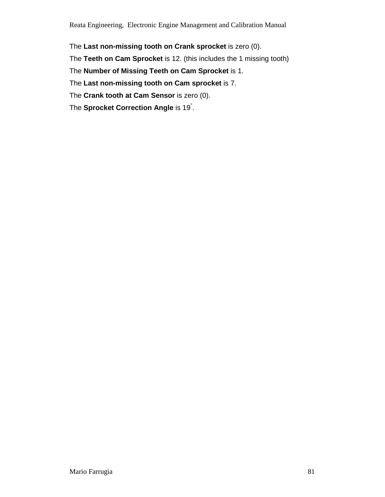Reata Engineering, Electronic Engine Management and Calibration Manual

The **Last non-missing tooth on Crank sprocket** is zero (0).

The **Teeth on Cam Sprocket** is 12. (this includes the 1 missing tooth)

The **Number of Missing Teeth on Cam Sprocket** is 1.

The **Last non-missing tooth on Cam sprocket** is 7.

The **Crank tooth at Cam Sensor** is zero (0).

The **Sprocket Correction Angle** is 19° .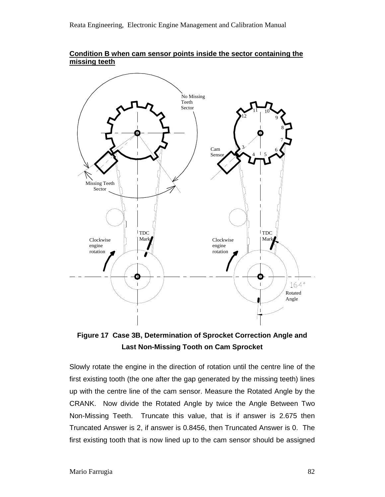



**Figure 17 Case 3B, Determination of Sprocket Correction Angle and Last Non-Missing Tooth on Cam Sprocket** 

Slowly rotate the engine in the direction of rotation until the centre line of the first existing tooth (the one after the gap generated by the missing teeth) lines up with the centre line of the cam sensor. Measure the Rotated Angle by the CRANK. Now divide the Rotated Angle by twice the Angle Between Two Non-Missing Teeth. Truncate this value, that is if answer is 2.675 then Truncated Answer is 2, if answer is 0.8456, then Truncated Answer is 0. The first existing tooth that is now lined up to the cam sensor should be assigned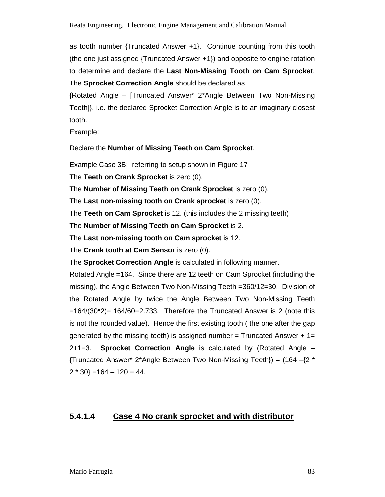as tooth number {Truncated Answer +1}. Continue counting from this tooth (the one just assigned {Truncated Answer +1}) and opposite to engine rotation to determine and declare the **Last Non-Missing Tooth on Cam Sprocket**. The **Sprocket Correction Angle** should be declared as

{Rotated Angle – [Truncated Answer\* 2\*Angle Between Two Non-Missing Teeth]}, i.e. the declared Sprocket Correction Angle is to an imaginary closest tooth.

Example:

Declare the **Number of Missing Teeth on Cam Sprocket**.

Example Case 3B: referring to setup shown in Figure 17

The **Teeth on Crank Sprocket** is zero (0).

The **Number of Missing Teeth on Crank Sprocket** is zero (0).

The **Last non-missing tooth on Crank sprocket** is zero (0).

The **Teeth on Cam Sprocket** is 12. (this includes the 2 missing teeth)

The **Number of Missing Teeth on Cam Sprocket** is 2.

The **Last non-missing tooth on Cam sprocket** is 12.

The **Crank tooth at Cam Sensor** is zero (0).

The **Sprocket Correction Angle** is calculated in following manner.

Rotated Angle =164. Since there are 12 teeth on Cam Sprocket (including the missing), the Angle Between Two Non-Missing Teeth =360/12=30. Division of the Rotated Angle by twice the Angle Between Two Non-Missing Teeth  $=164/(30<sup>*</sup>2) = 164/60=2.733$ . Therefore the Truncated Answer is 2 (note this is not the rounded value). Hence the first existing tooth ( the one after the gap generated by the missing teeth) is assigned number = Truncated Answer  $+1=$ 2+1=3. **Sprocket Correction Angle** is calculated by (Rotated Angle – {Truncated Answer\* 2\*Angle Between Two Non-Missing Teeth}) = (164 –{2 \*  $2 * 30$  = 164 – 120 = 44.

## **5.4.1.4 Case 4 No crank sprocket and with distributor**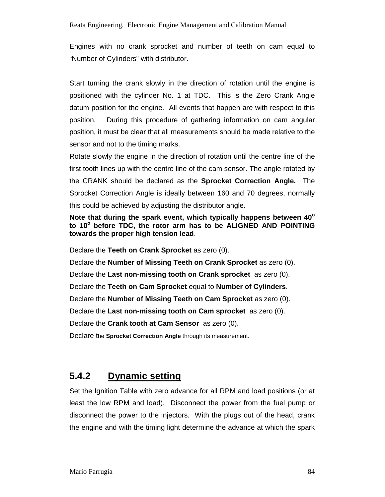Engines with no crank sprocket and number of teeth on cam equal to "Number of Cylinders" with distributor.

Start turning the crank slowly in the direction of rotation until the engine is positioned with the cylinder No. 1 at TDC. This is the Zero Crank Angle datum position for the engine. All events that happen are with respect to this position. During this procedure of gathering information on cam angular position, it must be clear that all measurements should be made relative to the sensor and not to the timing marks.

Rotate slowly the engine in the direction of rotation until the centre line of the first tooth lines up with the centre line of the cam sensor. The angle rotated by the CRANK should be declared as the **Sprocket Correction Angle.** The Sprocket Correction Angle is ideally between 160 and 70 degrees, normally this could be achieved by adjusting the distributor angle.

**Note that during the spark event, which typically happens between 40<sup>o</sup> to 10<sup>o</sup> before TDC, the rotor arm has to be ALIGNED AND POINTING towards the proper high tension lead**.

Declare the **Teeth on Crank Sprocket** as zero (0). Declare the **Number of Missing Teeth on Crank Sprocket** as zero (0). Declare the **Last non-missing tooth on Crank sprocket** as zero (0). Declare the **Teeth on Cam Sprocket** equal to **Number of Cylinders**. Declare the **Number of Missing Teeth on Cam Sprocket** as zero (0). Declare the **Last non-missing tooth on Cam sprocket** as zero (0). Declare the **Crank tooth at Cam Sensor** as zero (0).

Declare the **Sprocket Correction Angle** through its measurement.

# **5.4.2 Dynamic setting**

Set the Ignition Table with zero advance for all RPM and load positions (or at least the low RPM and load). Disconnect the power from the fuel pump or disconnect the power to the injectors. With the plugs out of the head, crank the engine and with the timing light determine the advance at which the spark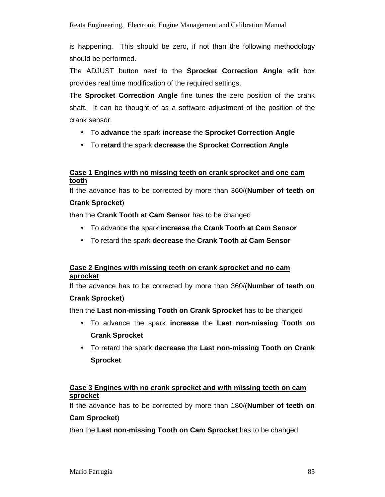is happening. This should be zero, if not than the following methodology should be performed.

The ADJUST button next to the **Sprocket Correction Angle** edit box provides real time modification of the required settings.

The **Sprocket Correction Angle** fine tunes the zero position of the crank shaft. It can be thought of as a software adjustment of the position of the crank sensor.

- To **advance** the spark **increase** the **Sprocket Correction Angle**
- To **retard** the spark **decrease** the **Sprocket Correction Angle**

### **Case 1 Engines with no missing teeth on crank sprocket and one cam tooth**

If the advance has to be corrected by more than 360/(**Number of teeth on** 

#### **Crank Sprocket**)

then the **Crank Tooth at Cam Sensor** has to be changed

- To advance the spark **increase** the **Crank Tooth at Cam Sensor**
- To retard the spark **decrease** the **Crank Tooth at Cam Sensor**

### **Case 2 Engines with missing teeth on crank sprocket and no cam sprocket**

If the advance has to be corrected by more than 360/(**Number of teeth on** 

## **Crank Sprocket**)

then the **Last non-missing Tooth on Crank Sprocket** has to be changed

- To advance the spark **increase** the **Last non-missing Tooth on Crank Sprocket**
- To retard the spark **decrease** the **Last non-missing Tooth on Crank Sprocket**

### **Case 3 Engines with no crank sprocket and with missing teeth on cam sprocket**

If the advance has to be corrected by more than 180/(**Number of teeth on Cam Sprocket**)

then the **Last non-missing Tooth on Cam Sprocket** has to be changed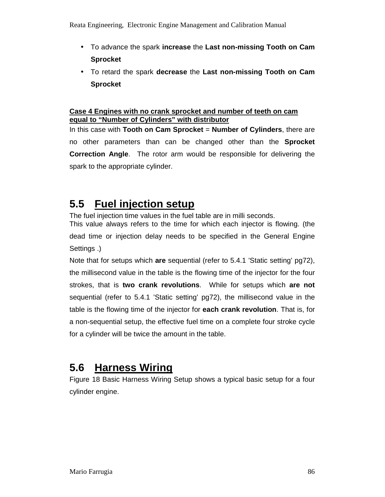- To advance the spark **increase** the **Last non-missing Tooth on Cam Sprocket**
- To retard the spark **decrease** the **Last non-missing Tooth on Cam Sprocket**

#### **Case 4 Engines with no crank sprocket and number of teeth on cam equal to "Number of Cylinders" with distributor**

In this case with **Tooth on Cam Sprocket** = **Number of Cylinders**, there are no other parameters than can be changed other than the **Sprocket Correction Angle**. The rotor arm would be responsible for delivering the spark to the appropriate cylinder.

# **5.5 Fuel injection setup**

The fuel injection time values in the fuel table are in milli seconds. This value always refers to the time for which each injector is flowing. (the dead time or injection delay needs to be specified in the General Engine

Settings .)

Note that for setups which **are** sequential (refer to 5.4.1 'Static setting' pg72), the millisecond value in the table is the flowing time of the injector for the four strokes, that is **two crank revolutions**. While for setups which **are not** sequential (refer to 5.4.1 'Static setting' pg72), the millisecond value in the table is the flowing time of the injector for **each crank revolution**. That is, for a non-sequential setup, the effective fuel time on a complete four stroke cycle for a cylinder will be twice the amount in the table.

# **5.6 Harness Wiring**

Figure 18 Basic Harness Wiring Setup shows a typical basic setup for a four cylinder engine.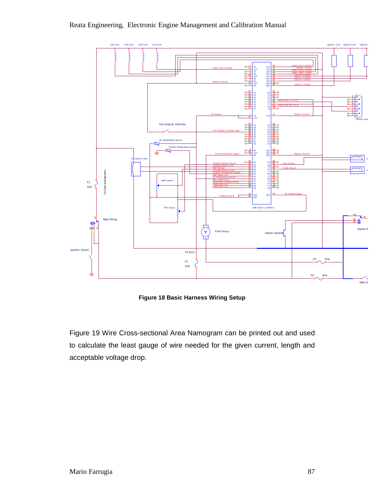



**Figure 18 Basic Harness Wiring Setup**

Figure 19 Wire Cross-sectional Area Namogram can be printed out and used to calculate the least gauge of wire needed for the given current, length and acceptable voltage drop.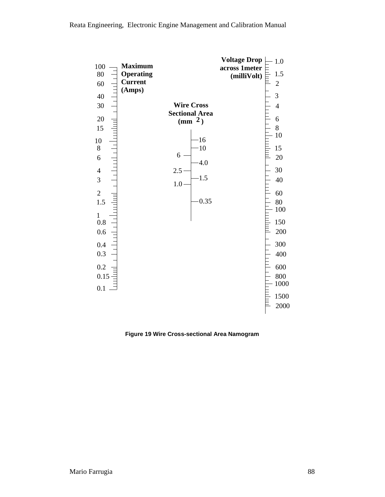

**Figure 19 Wire Cross-sectional Area Namogram**